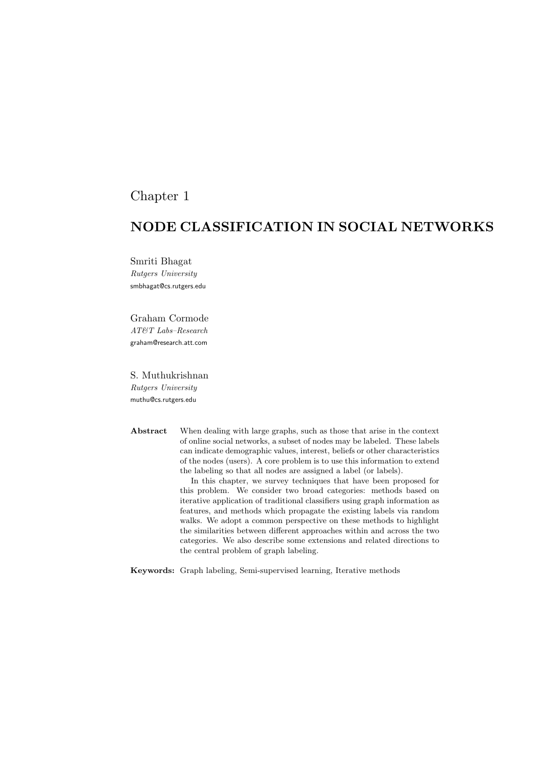# Chapter 1

# NODE CLASSIFICATION IN SOCIAL NETWORKS

Smriti Bhagat

Rutgers University smbhagat@cs.rutgers.edu

Graham Cormode AT&T Labs–Research graham@research.att.com

S. Muthukrishnan Rutgers University muthu@cs.rutgers.edu

Abstract When dealing with large graphs, such as those that arise in the context of online social networks, a subset of nodes may be labeled. These labels can indicate demographic values, interest, beliefs or other characteristics of the nodes (users). A core problem is to use this information to extend the labeling so that all nodes are assigned a label (or labels).

> In this chapter, we survey techniques that have been proposed for this problem. We consider two broad categories: methods based on iterative application of traditional classifiers using graph information as features, and methods which propagate the existing labels via random walks. We adopt a common perspective on these methods to highlight the similarities between different approaches within and across the two categories. We also describe some extensions and related directions to the central problem of graph labeling.

Keywords: Graph labeling, Semi-supervised learning, Iterative methods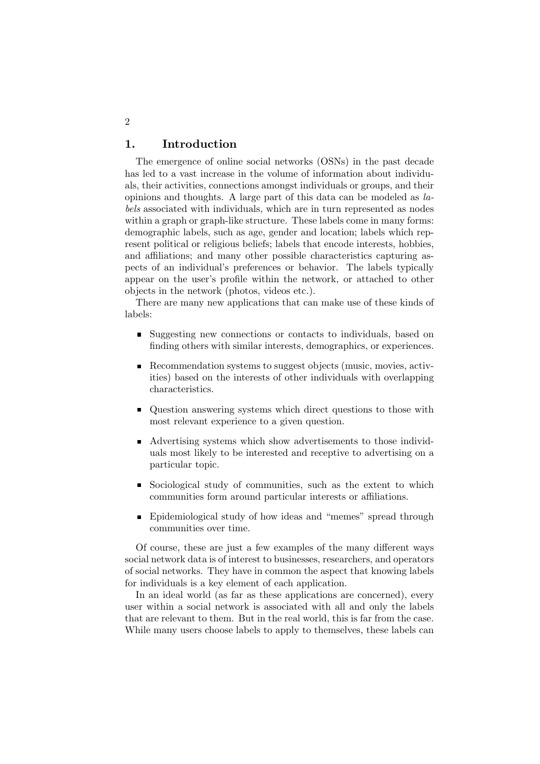# 1. Introduction

The emergence of online social networks (OSNs) in the past decade has led to a vast increase in the volume of information about individuals, their activities, connections amongst individuals or groups, and their opinions and thoughts. A large part of this data can be modeled as labels associated with individuals, which are in turn represented as nodes within a graph or graph-like structure. These labels come in many forms: demographic labels, such as age, gender and location; labels which represent political or religious beliefs; labels that encode interests, hobbies, and affiliations; and many other possible characteristics capturing aspects of an individual's preferences or behavior. The labels typically appear on the user's profile within the network, or attached to other objects in the network (photos, videos etc.).

There are many new applications that can make use of these kinds of labels:

- Suggesting new connections or contacts to individuals, based on finding others with similar interests, demographics, or experiences.
- Recommendation systems to suggest objects (music, movies, activities) based on the interests of other individuals with overlapping characteristics.
- Question answering systems which direct questions to those with most relevant experience to a given question.
- Advertising systems which show advertisements to those individuals most likely to be interested and receptive to advertising on a particular topic.
- Sociological study of communities, such as the extent to which communities form around particular interests or affiliations.
- Epidemiological study of how ideas and "memes" spread through communities over time.

Of course, these are just a few examples of the many different ways social network data is of interest to businesses, researchers, and operators of social networks. They have in common the aspect that knowing labels for individuals is a key element of each application.

In an ideal world (as far as these applications are concerned), every user within a social network is associated with all and only the labels that are relevant to them. But in the real world, this is far from the case. While many users choose labels to apply to themselves, these labels can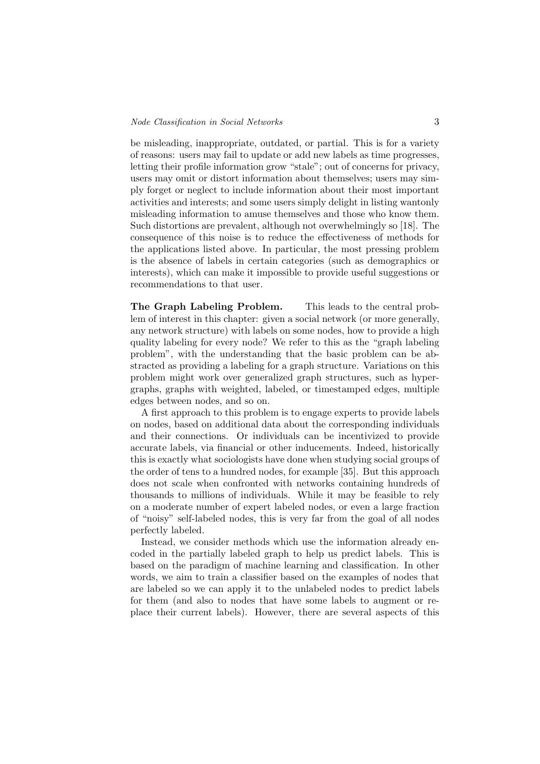be misleading, inappropriate, outdated, or partial. This is for a variety of reasons: users may fail to update or add new labels as time progresses, letting their profile information grow "stale"; out of concerns for privacy, users may omit or distort information about themselves; users may simply forget or neglect to include information about their most important activities and interests; and some users simply delight in listing wantonly misleading information to amuse themselves and those who know them. Such distortions are prevalent, although not overwhelmingly so [18]. The consequence of this noise is to reduce the effectiveness of methods for the applications listed above. In particular, the most pressing problem is the absence of labels in certain categories (such as demographics or interests), which can make it impossible to provide useful suggestions or recommendations to that user.

The Graph Labeling Problem. This leads to the central problem of interest in this chapter: given a social network (or more generally, any network structure) with labels on some nodes, how to provide a high quality labeling for every node? We refer to this as the "graph labeling problem", with the understanding that the basic problem can be abstracted as providing a labeling for a graph structure. Variations on this problem might work over generalized graph structures, such as hypergraphs, graphs with weighted, labeled, or timestamped edges, multiple edges between nodes, and so on.

A first approach to this problem is to engage experts to provide labels on nodes, based on additional data about the corresponding individuals and their connections. Or individuals can be incentivized to provide accurate labels, via financial or other inducements. Indeed, historically this is exactly what sociologists have done when studying social groups of the order of tens to a hundred nodes, for example [35]. But this approach does not scale when confronted with networks containing hundreds of thousands to millions of individuals. While it may be feasible to rely on a moderate number of expert labeled nodes, or even a large fraction of "noisy" self-labeled nodes, this is very far from the goal of all nodes perfectly labeled.

Instead, we consider methods which use the information already encoded in the partially labeled graph to help us predict labels. This is based on the paradigm of machine learning and classification. In other words, we aim to train a classifier based on the examples of nodes that are labeled so we can apply it to the unlabeled nodes to predict labels for them (and also to nodes that have some labels to augment or replace their current labels). However, there are several aspects of this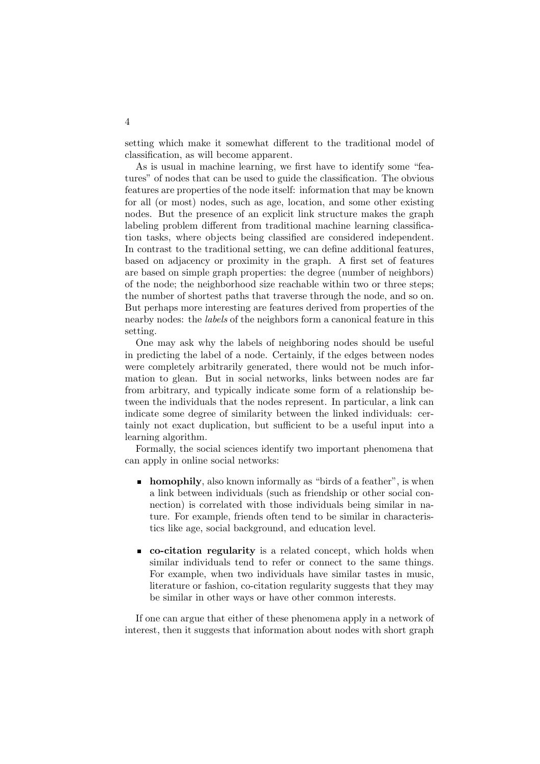setting which make it somewhat different to the traditional model of classification, as will become apparent.

As is usual in machine learning, we first have to identify some "features" of nodes that can be used to guide the classification. The obvious features are properties of the node itself: information that may be known for all (or most) nodes, such as age, location, and some other existing nodes. But the presence of an explicit link structure makes the graph labeling problem different from traditional machine learning classification tasks, where objects being classified are considered independent. In contrast to the traditional setting, we can define additional features, based on adjacency or proximity in the graph. A first set of features are based on simple graph properties: the degree (number of neighbors) of the node; the neighborhood size reachable within two or three steps; the number of shortest paths that traverse through the node, and so on. But perhaps more interesting are features derived from properties of the nearby nodes: the labels of the neighbors form a canonical feature in this setting.

One may ask why the labels of neighboring nodes should be useful in predicting the label of a node. Certainly, if the edges between nodes were completely arbitrarily generated, there would not be much information to glean. But in social networks, links between nodes are far from arbitrary, and typically indicate some form of a relationship between the individuals that the nodes represent. In particular, a link can indicate some degree of similarity between the linked individuals: certainly not exact duplication, but sufficient to be a useful input into a learning algorithm.

Formally, the social sciences identify two important phenomena that can apply in online social networks:

- homophily, also known informally as "birds of a feather", is when a link between individuals (such as friendship or other social connection) is correlated with those individuals being similar in nature. For example, friends often tend to be similar in characteristics like age, social background, and education level.
- **co-citation regularity** is a related concept, which holds when similar individuals tend to refer or connect to the same things. For example, when two individuals have similar tastes in music, literature or fashion, co-citation regularity suggests that they may be similar in other ways or have other common interests.

If one can argue that either of these phenomena apply in a network of interest, then it suggests that information about nodes with short graph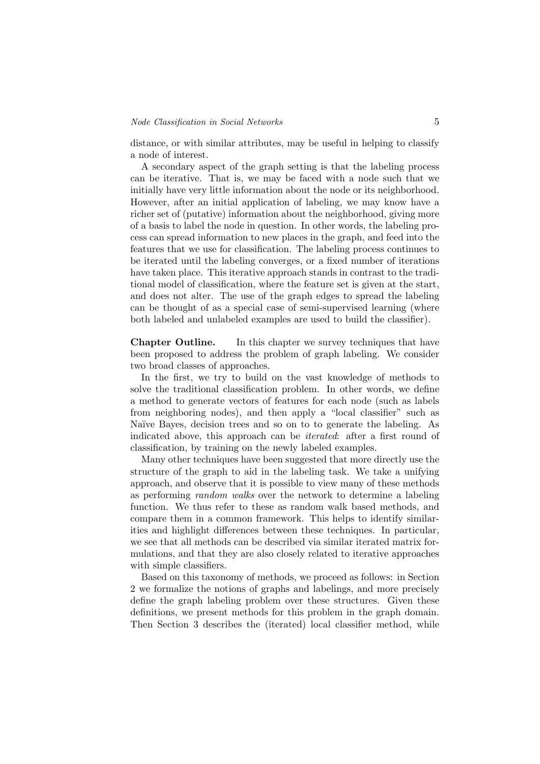distance, or with similar attributes, may be useful in helping to classify a node of interest.

A secondary aspect of the graph setting is that the labeling process can be iterative. That is, we may be faced with a node such that we initially have very little information about the node or its neighborhood. However, after an initial application of labeling, we may know have a richer set of (putative) information about the neighborhood, giving more of a basis to label the node in question. In other words, the labeling process can spread information to new places in the graph, and feed into the features that we use for classification. The labeling process continues to be iterated until the labeling converges, or a fixed number of iterations have taken place. This iterative approach stands in contrast to the traditional model of classification, where the feature set is given at the start, and does not alter. The use of the graph edges to spread the labeling can be thought of as a special case of semi-supervised learning (where both labeled and unlabeled examples are used to build the classifier).

Chapter Outline. In this chapter we survey techniques that have been proposed to address the problem of graph labeling. We consider two broad classes of approaches.

In the first, we try to build on the vast knowledge of methods to solve the traditional classification problem. In other words, we define a method to generate vectors of features for each node (such as labels from neighboring nodes), and then apply a "local classifier" such as Naïve Bayes, decision trees and so on to to generate the labeling. As indicated above, this approach can be iterated: after a first round of classification, by training on the newly labeled examples.

Many other techniques have been suggested that more directly use the structure of the graph to aid in the labeling task. We take a unifying approach, and observe that it is possible to view many of these methods as performing random walks over the network to determine a labeling function. We thus refer to these as random walk based methods, and compare them in a common framework. This helps to identify similarities and highlight differences between these techniques. In particular, we see that all methods can be described via similar iterated matrix formulations, and that they are also closely related to iterative approaches with simple classifiers.

Based on this taxonomy of methods, we proceed as follows: in Section 2 we formalize the notions of graphs and labelings, and more precisely define the graph labeling problem over these structures. Given these definitions, we present methods for this problem in the graph domain. Then Section 3 describes the (iterated) local classifier method, while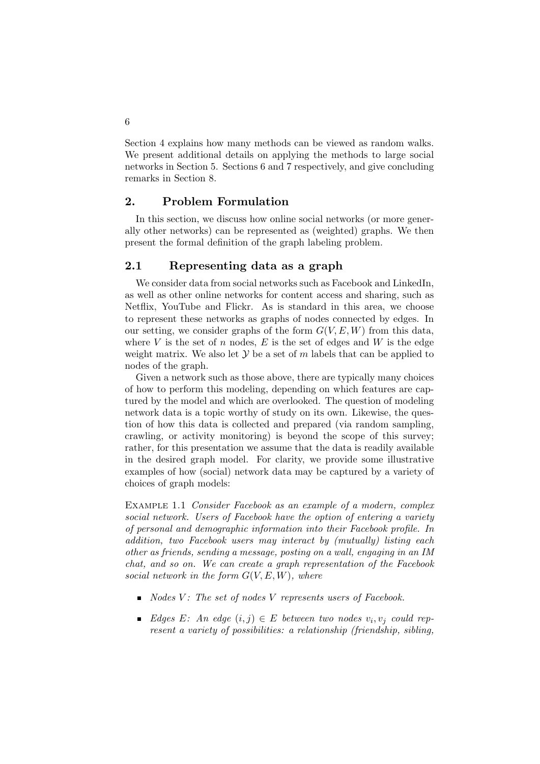Section 4 explains how many methods can be viewed as random walks. We present additional details on applying the methods to large social networks in Section 5. Sections 6 and 7 respectively, and give concluding remarks in Section 8.

# 2. Problem Formulation

In this section, we discuss how online social networks (or more generally other networks) can be represented as (weighted) graphs. We then present the formal definition of the graph labeling problem.

# 2.1 Representing data as a graph

We consider data from social networks such as Facebook and LinkedIn. as well as other online networks for content access and sharing, such as Netflix, YouTube and Flickr. As is standard in this area, we choose to represent these networks as graphs of nodes connected by edges. In our setting, we consider graphs of the form  $G(V, E, W)$  from this data, where  $V$  is the set of n nodes,  $E$  is the set of edges and  $W$  is the edge weight matrix. We also let  $Y$  be a set of m labels that can be applied to nodes of the graph.

Given a network such as those above, there are typically many choices of how to perform this modeling, depending on which features are captured by the model and which are overlooked. The question of modeling network data is a topic worthy of study on its own. Likewise, the question of how this data is collected and prepared (via random sampling, crawling, or activity monitoring) is beyond the scope of this survey; rather, for this presentation we assume that the data is readily available in the desired graph model. For clarity, we provide some illustrative examples of how (social) network data may be captured by a variety of choices of graph models:

EXAMPLE 1.1 Consider Facebook as an example of a modern, complex social network. Users of Facebook have the option of entering a variety of personal and demographic information into their Facebook profile. In addition, two Facebook users may interact by (mutually) listing each other as friends, sending a message, posting on a wall, engaging in an IM chat, and so on. We can create a graph representation of the Facebook social network in the form  $G(V, E, W)$ , where

- $\blacksquare$  Nodes V: The set of nodes V represents users of Facebook.
- Edges E: An edge  $(i, j) \in E$  between two nodes  $v_i, v_j$  could represent a variety of possibilities: a relationship (friendship, sibling,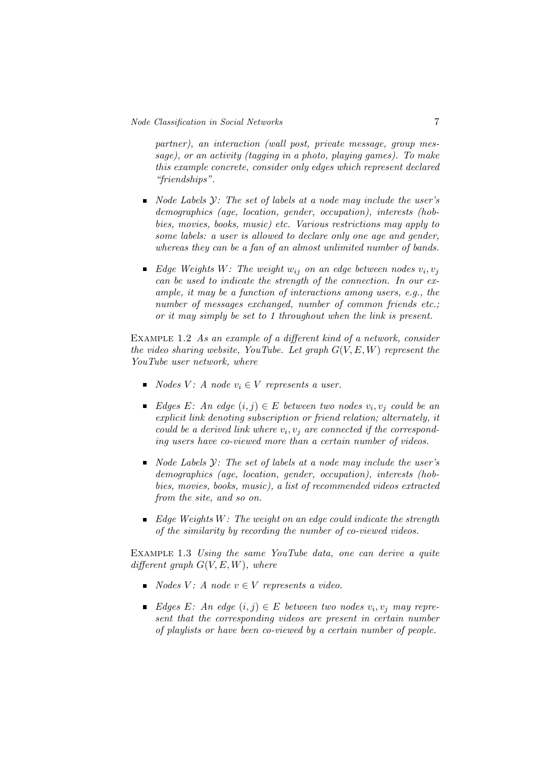partner), an interaction (wall post, private message, group message), or an activity (tagging in a photo, playing games). To make this example concrete, consider only edges which represent declared "friendships".

- $\blacksquare$  Node Labels  $\mathcal{Y}$ : The set of labels at a node may include the user's demographics (age, location, gender, occupation), interests (hobbies, movies, books, music) etc. Various restrictions may apply to some labels: a user is allowed to declare only one age and gender, whereas they can be a fan of an almost unlimited number of bands.
- Edge Weights W: The weight  $w_{ij}$  on an edge between nodes  $v_i, v_j$ can be used to indicate the strength of the connection. In our example, it may be a function of interactions among users, e.g., the number of messages exchanged, number of common friends etc.; or it may simply be set to 1 throughout when the link is present.

EXAMPLE 1.2 As an example of a different kind of a network, consider the video sharing website, YouTube. Let graph  $G(V, E, W)$  represent the YouTube user network, where

- *Nodes V: A node*  $v_i \in V$  represents a user.
- Edges E: An edge  $(i, j) \in E$  between two nodes  $v_i, v_j$  could be an explicit link denoting subscription or friend relation; alternately, it could be a derived link where  $v_i, v_j$  are connected if the corresponding users have co-viewed more than a certain number of videos.
- $\blacksquare$  Node Labels  $\mathcal V$ : The set of labels at a node may include the user's demographics (age, location, gender, occupation), interests (hobbies, movies, books, music), a list of recommended videos extracted from the site, and so on.
- $\blacksquare$  Edge Weights W: The weight on an edge could indicate the strength of the similarity by recording the number of co-viewed videos.

EXAMPLE 1.3 Using the same YouTube data, one can derive a quite different graph  $G(V, E, W)$ , where

- *Nodes*  $V: A$  *node*  $v \in V$  *represents a video.*
- Edges E: An edge  $(i, j) \in E$  between two nodes  $v_i, v_j$  may represent that the corresponding videos are present in certain number of playlists or have been co-viewed by a certain number of people.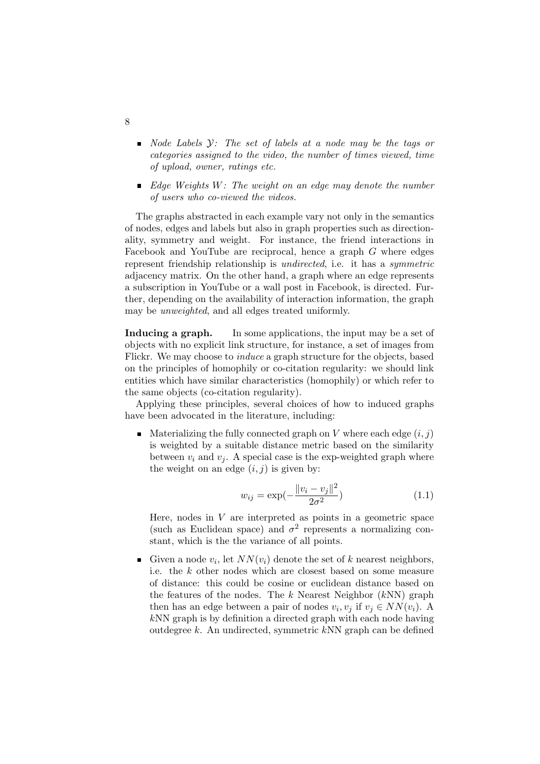- $\blacksquare$  Node Labels  $\mathcal{Y}$ : The set of labels at a node may be the tags or categories assigned to the video, the number of times viewed, time of upload, owner, ratings etc.
- $\blacksquare$  Edge Weights W: The weight on an edge may denote the number of users who co-viewed the videos.

The graphs abstracted in each example vary not only in the semantics of nodes, edges and labels but also in graph properties such as directionality, symmetry and weight. For instance, the friend interactions in Facebook and YouTube are reciprocal, hence a graph G where edges represent friendship relationship is undirected, i.e. it has a symmetric adjacency matrix. On the other hand, a graph where an edge represents a subscription in YouTube or a wall post in Facebook, is directed. Further, depending on the availability of interaction information, the graph may be unweighted, and all edges treated uniformly.

Inducing a graph. In some applications, the input may be a set of objects with no explicit link structure, for instance, a set of images from Flickr. We may choose to induce a graph structure for the objects, based on the principles of homophily or co-citation regularity: we should link entities which have similar characteristics (homophily) or which refer to the same objects (co-citation regularity).

Applying these principles, several choices of how to induced graphs have been advocated in the literature, including:

**Materializing the fully connected graph on V** where each edge  $(i, j)$ is weighted by a suitable distance metric based on the similarity between  $v_i$  and  $v_j$ . A special case is the exp-weighted graph where the weight on an edge  $(i, j)$  is given by:

$$
w_{ij} = \exp(-\frac{\|v_i - v_j\|^2}{2\sigma^2})
$$
\n(1.1)

Here, nodes in  $V$  are interpreted as points in a geometric space (such as Euclidean space) and  $\sigma^2$  represents a normalizing constant, which is the the variance of all points.

Given a node  $v_i$ , let  $NN(v_i)$  denote the set of k nearest neighbors, i.e. the k other nodes which are closest based on some measure of distance: this could be cosine or euclidean distance based on the features of the nodes. The  $k$  Nearest Neighbor  $(kNN)$  graph then has an edge between a pair of nodes  $v_i, v_j$  if  $v_j \in NN(v_i)$ . A kNN graph is by definition a directed graph with each node having outdegree  $k$ . An undirected, symmetric  $kNN$  graph can be defined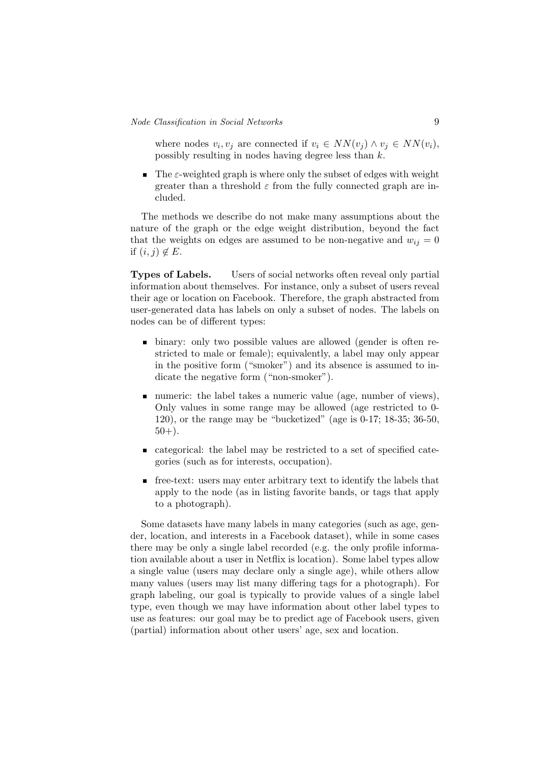where nodes  $v_i, v_j$  are connected if  $v_i \in NN(v_j) \land v_j \in NN(v_i)$ , possibly resulting in nodes having degree less than k.

The  $\varepsilon$ -weighted graph is where only the subset of edges with weight  $\blacksquare$ greater than a threshold  $\varepsilon$  from the fully connected graph are included.

The methods we describe do not make many assumptions about the nature of the graph or the edge weight distribution, beyond the fact that the weights on edges are assumed to be non-negative and  $w_{ij} = 0$ if  $(i, j) \notin E$ .

Types of Labels. Users of social networks often reveal only partial information about themselves. For instance, only a subset of users reveal their age or location on Facebook. Therefore, the graph abstracted from user-generated data has labels on only a subset of nodes. The labels on nodes can be of different types:

- binary: only two possible values are allowed (gender is often restricted to male or female); equivalently, a label may only appear in the positive form ("smoker") and its absence is assumed to indicate the negative form ("non-smoker").
- numeric: the label takes a numeric value (age, number of views), Only values in some range may be allowed (age restricted to 0- 120), or the range may be "bucketized" (age is 0-17; 18-35; 36-50,  $50+$ ).
- $\blacksquare$ categorical: the label may be restricted to a set of specified categories (such as for interests, occupation).
- free-text: users may enter arbitrary text to identify the labels that apply to the node (as in listing favorite bands, or tags that apply to a photograph).

Some datasets have many labels in many categories (such as age, gender, location, and interests in a Facebook dataset), while in some cases there may be only a single label recorded (e.g. the only profile information available about a user in Netflix is location). Some label types allow a single value (users may declare only a single age), while others allow many values (users may list many differing tags for a photograph). For graph labeling, our goal is typically to provide values of a single label type, even though we may have information about other label types to use as features: our goal may be to predict age of Facebook users, given (partial) information about other users' age, sex and location.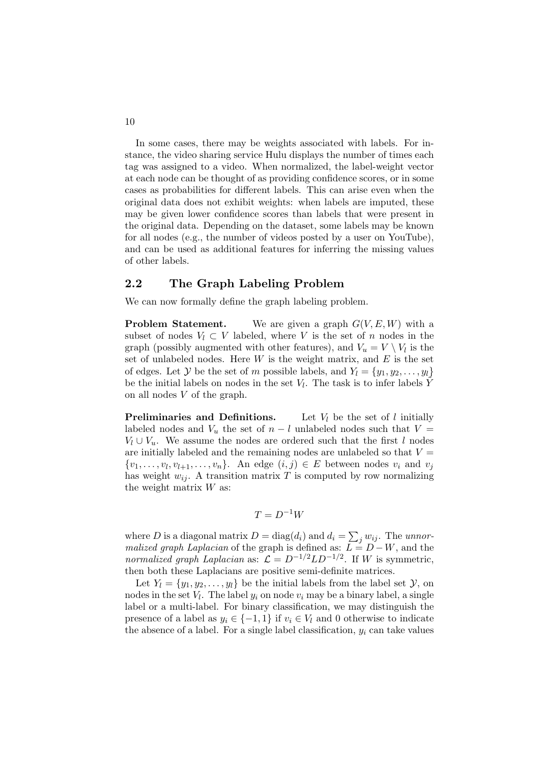In some cases, there may be weights associated with labels. For instance, the video sharing service Hulu displays the number of times each tag was assigned to a video. When normalized, the label-weight vector at each node can be thought of as providing confidence scores, or in some cases as probabilities for different labels. This can arise even when the original data does not exhibit weights: when labels are imputed, these may be given lower confidence scores than labels that were present in the original data. Depending on the dataset, some labels may be known for all nodes (e.g., the number of videos posted by a user on YouTube), and can be used as additional features for inferring the missing values of other labels.

# 2.2 The Graph Labeling Problem

We can now formally define the graph labeling problem.

**Problem Statement.** We are given a graph  $G(V, E, W)$  with a subset of nodes  $V_l \subset V$  labeled, where V is the set of n nodes in the graph (possibly augmented with other features), and  $V_u = V \setminus V_l$  is the set of unlabeled nodes. Here  $W$  is the weight matrix, and  $E$  is the set of edges. Let Y be the set of m possible labels, and  $Y_l = \{y_1, y_2, \ldots, y_l\}$ be the initial labels on nodes in the set  $V_l$ . The task is to infer labels  $\tilde{Y}$ on all nodes V of the graph.

**Preliminaries and Definitions.** Let  $V_l$  be the set of l initially labeled nodes and  $V_u$  the set of  $n - l$  unlabeled nodes such that  $V =$  $V_l \cup V_u$ . We assume the nodes are ordered such that the first l nodes are initially labeled and the remaining nodes are unlabeled so that  $V =$  $\{v_1, \ldots, v_l, v_{l+1}, \ldots, v_n\}.$  An edge  $(i, j) \in E$  between nodes  $v_i$  and  $v_j$ has weight  $w_{ij}$ . A transition matrix T is computed by row normalizing the weight matrix  $W$  as:

$$
T = D^{-1}W
$$

where D is a diagonal matrix  $D = \text{diag}(d_i)$  and  $d_i = \sum_j w_{ij}$ . The unnormalized graph Laplacian of the graph is defined as:  $L = D - W$ , and the normalized graph Laplacian as:  $\mathcal{L} = D^{-1/2}LD^{-1/2}$ . If W is symmetric, then both these Laplacians are positive semi-definite matrices.

Let  $Y_l = \{y_1, y_2, \ldots, y_l\}$  be the initial labels from the label set  $\mathcal{Y}$ , on nodes in the set  $V_l$ . The label  $y_i$  on node  $v_i$  may be a binary label, a single label or a multi-label. For binary classification, we may distinguish the presence of a label as  $y_i \in \{-1, 1\}$  if  $v_i \in V_l$  and 0 otherwise to indicate the absence of a label. For a single label classification,  $y_i$  can take values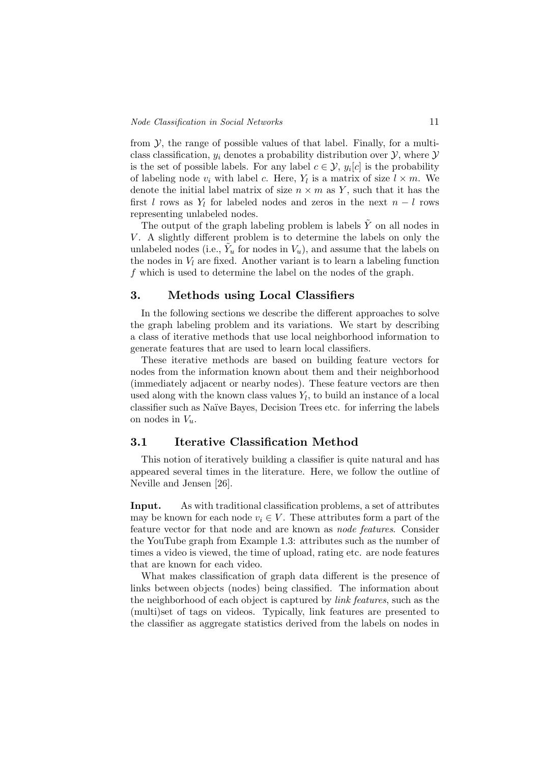from  $\mathcal{Y}$ , the range of possible values of that label. Finally, for a multiclass classification,  $y_i$  denotes a probability distribution over  $\mathcal{Y}$ , where  $\mathcal{Y}$ is the set of possible labels. For any label  $c \in \mathcal{Y}$ ,  $y_i[c]$  is the probability of labeling node  $v_i$  with label c. Here,  $Y_l$  is a matrix of size  $l \times m$ . We denote the initial label matrix of size  $n \times m$  as Y, such that it has the first l rows as  $Y_l$  for labeled nodes and zeros in the next  $n - l$  rows representing unlabeled nodes.

The output of the graph labeling problem is labels  $\tilde{Y}$  on all nodes in  $V$ . A slightly different problem is to determine the labels on only the unlabeled nodes (i.e.,  $\tilde{Y}_u$  for nodes in  $V_u$ ), and assume that the labels on the nodes in  $V_l$  are fixed. Another variant is to learn a labeling function f which is used to determine the label on the nodes of the graph.

### 3. Methods using Local Classifiers

In the following sections we describe the different approaches to solve the graph labeling problem and its variations. We start by describing a class of iterative methods that use local neighborhood information to generate features that are used to learn local classifiers.

These iterative methods are based on building feature vectors for nodes from the information known about them and their neighborhood (immediately adjacent or nearby nodes). These feature vectors are then used along with the known class values  $Y_l$ , to build an instance of a local classifier such as Na¨ıve Bayes, Decision Trees etc. for inferring the labels on nodes in  $V_u$ .

#### 3.1 Iterative Classification Method

This notion of iteratively building a classifier is quite natural and has appeared several times in the literature. Here, we follow the outline of Neville and Jensen [26].

Input. As with traditional classification problems, a set of attributes may be known for each node  $v_i \in V$ . These attributes form a part of the feature vector for that node and are known as node features. Consider the YouTube graph from Example 1.3: attributes such as the number of times a video is viewed, the time of upload, rating etc. are node features that are known for each video.

What makes classification of graph data different is the presence of links between objects (nodes) being classified. The information about the neighborhood of each object is captured by link features, such as the (multi)set of tags on videos. Typically, link features are presented to the classifier as aggregate statistics derived from the labels on nodes in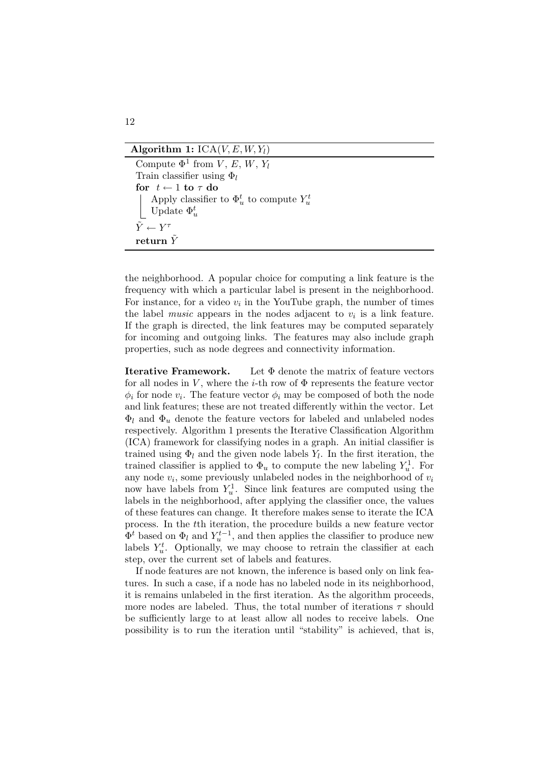| Algorithm 1: $ICA(V, E, W, Y_l)$ |  |  |  |  |  |
|----------------------------------|--|--|--|--|--|
|----------------------------------|--|--|--|--|--|

Compute  $\Phi^1$  from  $V, E, W, Y_l$ Train classifier using  $\Phi_l$ for  $t \leftarrow 1$  to  $\tau$  do Apply classifier to  $\Phi_u^t$  to compute  $Y_u^t$ Update  $\Phi_u^t$  $\tilde{Y} \leftarrow Y^{\tau}$ return  $\tilde{Y}$ 

the neighborhood. A popular choice for computing a link feature is the frequency with which a particular label is present in the neighborhood. For instance, for a video  $v_i$  in the YouTube graph, the number of times the label *music* appears in the nodes adjacent to  $v_i$  is a link feature. If the graph is directed, the link features may be computed separately for incoming and outgoing links. The features may also include graph properties, such as node degrees and connectivity information.

**Iterative Framework.** Let  $\Phi$  denote the matrix of feature vectors for all nodes in V, where the *i*-th row of  $\Phi$  represents the feature vector  $\phi_i$  for node  $v_i$ . The feature vector  $\phi_i$  may be composed of both the node and link features; these are not treated differently within the vector. Let  $\Phi_l$  and  $\Phi_u$  denote the feature vectors for labeled and unlabeled nodes respectively. Algorithm 1 presents the Iterative Classification Algorithm (ICA) framework for classifying nodes in a graph. An initial classifier is trained using  $\Phi_l$  and the given node labels  $Y_l$ . In the first iteration, the trained classifier is applied to  $\Phi_u$  to compute the new labeling  $Y_u^1$ . For any node  $v_i$ , some previously unlabeled nodes in the neighborhood of  $v_i$ now have labels from  $Y_u^1$ . Since link features are computed using the labels in the neighborhood, after applying the classifier once, the values of these features can change. It therefore makes sense to iterate the ICA process. In the tth iteration, the procedure builds a new feature vector  $\Phi^t$  based on  $\Phi_l$  and  $Y_u^{t-1}$ , and then applies the classifier to produce new labels  $Y_u^t$ . Optionally, we may choose to retrain the classifier at each step, over the current set of labels and features.

If node features are not known, the inference is based only on link features. In such a case, if a node has no labeled node in its neighborhood, it is remains unlabeled in the first iteration. As the algorithm proceeds, more nodes are labeled. Thus, the total number of iterations  $\tau$  should be sufficiently large to at least allow all nodes to receive labels. One possibility is to run the iteration until "stability" is achieved, that is,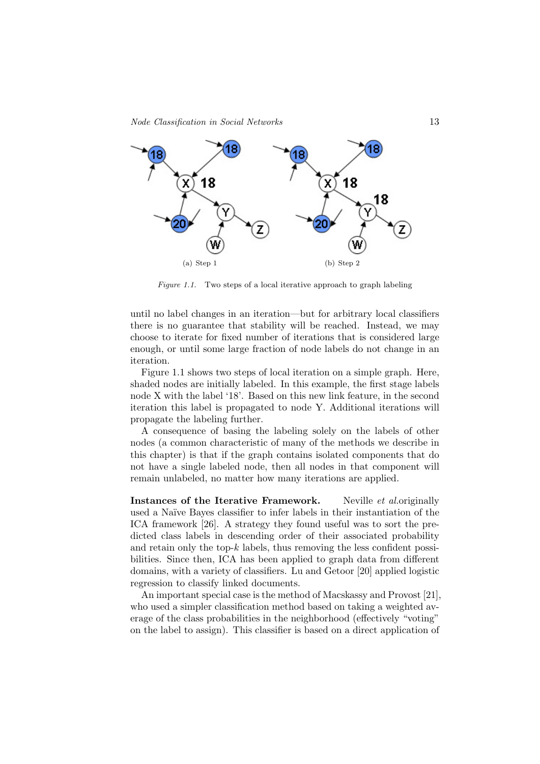Node Classification in Social Networks 13



Figure 1.1. Two steps of a local iterative approach to graph labeling

until no label changes in an iteration—but for arbitrary local classifiers there is no guarantee that stability will be reached. Instead, we may choose to iterate for fixed number of iterations that is considered large enough, or until some large fraction of node labels do not change in an iteration.

Figure 1.1 shows two steps of local iteration on a simple graph. Here, shaded nodes are initially labeled. In this example, the first stage labels node X with the label '18'. Based on this new link feature, in the second iteration this label is propagated to node Y. Additional iterations will propagate the labeling further.

A consequence of basing the labeling solely on the labels of other nodes (a common characteristic of many of the methods we describe in this chapter) is that if the graph contains isolated components that do not have a single labeled node, then all nodes in that component will remain unlabeled, no matter how many iterations are applied.

Instances of the Iterative Framework. Neville et al.originally used a Naïve Bayes classifier to infer labels in their instantiation of the ICA framework [26]. A strategy they found useful was to sort the predicted class labels in descending order of their associated probability and retain only the top- $k$  labels, thus removing the less confident possibilities. Since then, ICA has been applied to graph data from different domains, with a variety of classifiers. Lu and Getoor [20] applied logistic regression to classify linked documents.

An important special case is the method of Macskassy and Provost [21], who used a simpler classification method based on taking a weighted average of the class probabilities in the neighborhood (effectively "voting" on the label to assign). This classifier is based on a direct application of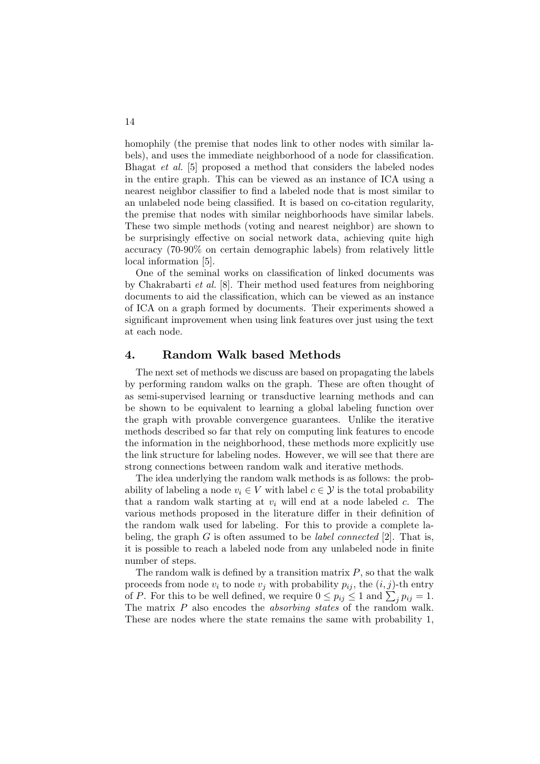homophily (the premise that nodes link to other nodes with similar labels), and uses the immediate neighborhood of a node for classification. Bhagat et al. [5] proposed a method that considers the labeled nodes in the entire graph. This can be viewed as an instance of ICA using a nearest neighbor classifier to find a labeled node that is most similar to an unlabeled node being classified. It is based on co-citation regularity, the premise that nodes with similar neighborhoods have similar labels. These two simple methods (voting and nearest neighbor) are shown to be surprisingly effective on social network data, achieving quite high accuracy (70-90% on certain demographic labels) from relatively little local information [5].

One of the seminal works on classification of linked documents was by Chakrabarti et al. [8]. Their method used features from neighboring documents to aid the classification, which can be viewed as an instance of ICA on a graph formed by documents. Their experiments showed a significant improvement when using link features over just using the text at each node.

#### 4. Random Walk based Methods

The next set of methods we discuss are based on propagating the labels by performing random walks on the graph. These are often thought of as semi-supervised learning or transductive learning methods and can be shown to be equivalent to learning a global labeling function over the graph with provable convergence guarantees. Unlike the iterative methods described so far that rely on computing link features to encode the information in the neighborhood, these methods more explicitly use the link structure for labeling nodes. However, we will see that there are strong connections between random walk and iterative methods.

The idea underlying the random walk methods is as follows: the probability of labeling a node  $v_i \in V$  with label  $c \in \mathcal{Y}$  is the total probability that a random walk starting at  $v_i$  will end at a node labeled c. The various methods proposed in the literature differ in their definition of the random walk used for labeling. For this to provide a complete labeling, the graph  $G$  is often assumed to be *label connected* [2]. That is, it is possible to reach a labeled node from any unlabeled node in finite number of steps.

The random walk is defined by a transition matrix  $P$ , so that the walk proceeds from node  $v_i$  to node  $v_j$  with probability  $p_{ij}$ , the  $(i, j)$ -th entry of P. For this to be well defined, we require  $0 \le p_{ij} \le 1$  and  $\sum_j p_{ij} = 1$ . The matrix P also encodes the *absorbing states* of the random walk. These are nodes where the state remains the same with probability 1,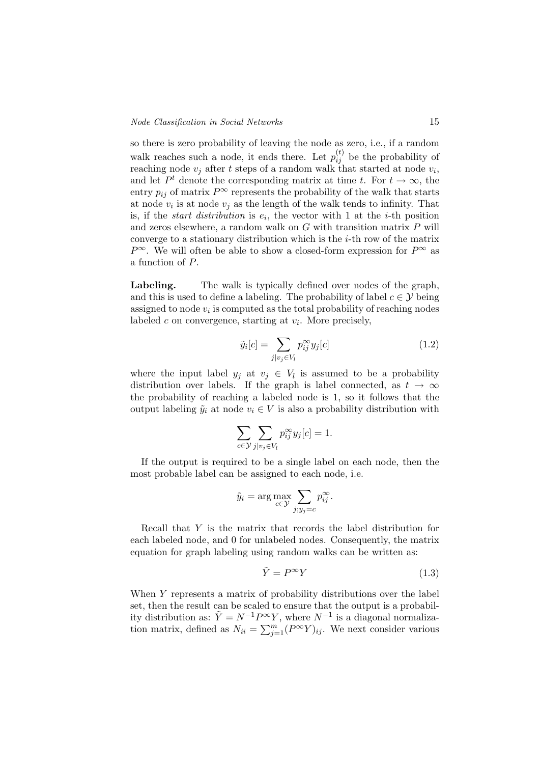so there is zero probability of leaving the node as zero, i.e., if a random walk reaches such a node, it ends there. Let  $p_{ij}^{(t)}$  be the probability of reaching node  $v_j$  after t steps of a random walk that started at node  $v_i$ , and let  $P<sup>t</sup>$  denote the corresponding matrix at time t. For  $t \to \infty$ , the entry  $p_{ij}$  of matrix  $P^{\infty}$  represents the probability of the walk that starts at node  $v_i$  is at node  $v_j$  as the length of the walk tends to infinity. That is, if the *start distribution* is  $e_i$ , the vector with 1 at the *i*-th position and zeros elsewhere, a random walk on  $G$  with transition matrix  $P$  will converge to a stationary distribution which is the i-th row of the matrix  $P^{\infty}$ . We will often be able to show a closed-form expression for  $P^{\infty}$  as a function of P.

Labeling. The walk is typically defined over nodes of the graph, and this is used to define a labeling. The probability of label  $c \in \mathcal{Y}$  being assigned to node  $v_i$  is computed as the total probability of reaching nodes labeled  $c$  on convergence, starting at  $v_i$ . More precisely,

$$
\tilde{y}_i[c] = \sum_{j|v_j \in V_l} p_{ij}^{\infty} y_j[c]
$$
\n(1.2)

where the input label  $y_j$  at  $v_j \in V_l$  is assumed to be a probability distribution over labels. If the graph is label connected, as  $t \to \infty$ the probability of reaching a labeled node is 1, so it follows that the output labeling  $\tilde{y}_i$  at node  $v_i \in V$  is also a probability distribution with

$$
\sum_{c \in \mathcal{Y}} \sum_{j | v_j \in V_l} p_{ij}^{\infty} y_j[c] = 1.
$$

If the output is required to be a single label on each node, then the most probable label can be assigned to each node, i.e.

$$
\tilde{y}_i = \arg\max_{c \in \mathcal{Y}} \sum_{j:y_j=c} p_{ij}^{\infty}.
$$

Recall that Y is the matrix that records the label distribution for each labeled node, and 0 for unlabeled nodes. Consequently, the matrix equation for graph labeling using random walks can be written as:

$$
\tilde{Y} = P^{\infty} Y \tag{1.3}
$$

When Y represents a matrix of probability distributions over the label set, then the result can be scaled to ensure that the output is a probability distribution as:  $\tilde{Y} = N^{-1}P^{\infty}Y$ , where  $N^{-1}$  is a diagonal normalization matrix, defined as  $N_{ii} = \sum_{j=1}^{m} (P^{\infty}Y)_{ij}$ . We next consider various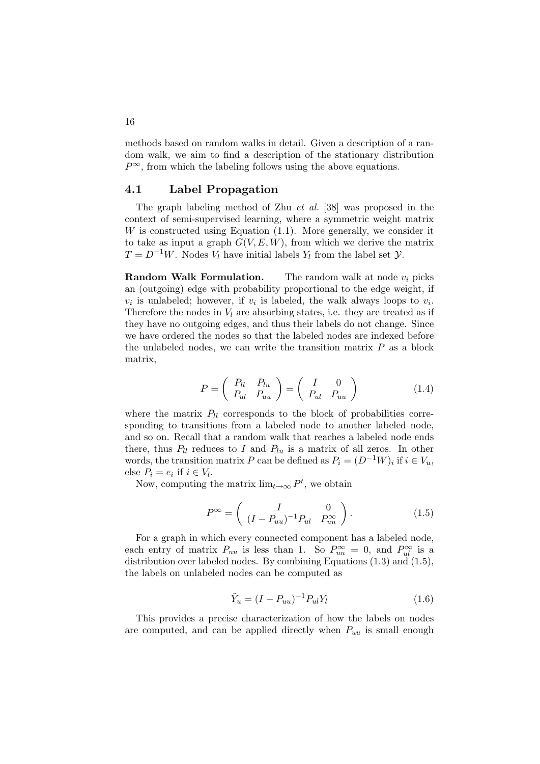methods based on random walks in detail. Given a description of a random walk, we aim to find a description of the stationary distribution  $P^{\infty}$ , from which the labeling follows using the above equations.

#### 4.1 Label Propagation

The graph labeling method of Zhu et al. [38] was proposed in the context of semi-supervised learning, where a symmetric weight matrix  $W$  is constructed using Equation (1.1). More generally, we consider it to take as input a graph  $G(V, E, W)$ , from which we derive the matrix  $T = D^{-1}W$ . Nodes  $V_l$  have initial labels  $Y_l$  from the label set  $\mathcal{Y}$ .

**Random Walk Formulation.** The random walk at node  $v_i$  picks an (outgoing) edge with probability proportional to the edge weight, if  $v_i$  is unlabeled; however, if  $v_i$  is labeled, the walk always loops to  $v_i$ . Therefore the nodes in  $V_l$  are absorbing states, i.e. they are treated as if they have no outgoing edges, and thus their labels do not change. Since we have ordered the nodes so that the labeled nodes are indexed before the unlabeled nodes, we can write the transition matrix  $P$  as a block matrix,

$$
P = \left(\begin{array}{cc} P_{ll} & P_{lu} \\ P_{ul} & P_{uu} \end{array}\right) = \left(\begin{array}{cc} I & 0 \\ P_{ul} & P_{uu} \end{array}\right) \tag{1.4}
$$

where the matrix  $P_{ll}$  corresponds to the block of probabilities corresponding to transitions from a labeled node to another labeled node, and so on. Recall that a random walk that reaches a labeled node ends there, thus  $P_{ll}$  reduces to I and  $P_{lu}$  is a matrix of all zeros. In other words, the transition matrix P can be defined as  $P_i = (D^{-1}W)_i$  if  $i \in V_u$ , else  $P_i = e_i$  if  $i \in V_l$ .

Now, computing the matrix  $\lim_{t\to\infty} P^t$ , we obtain

$$
P^{\infty} = \begin{pmatrix} I & 0 \\ (I - P_{uu})^{-1} P_{ul} & P_{uu}^{\infty} \end{pmatrix}.
$$
 (1.5)

For a graph in which every connected component has a labeled node, each entry of matrix  $P_{uu}$  is less than 1. So  $P_{uu}^{\infty} = 0$ , and  $P_{ul}^{\infty}$  is a distribution over labeled nodes. By combining Equations (1.3) and (1.5), the labels on unlabeled nodes can be computed as

$$
\tilde{Y}_u = (I - P_{uu})^{-1} P_{ul} Y_l \tag{1.6}
$$

This provides a precise characterization of how the labels on nodes are computed, and can be applied directly when  $P_{uu}$  is small enough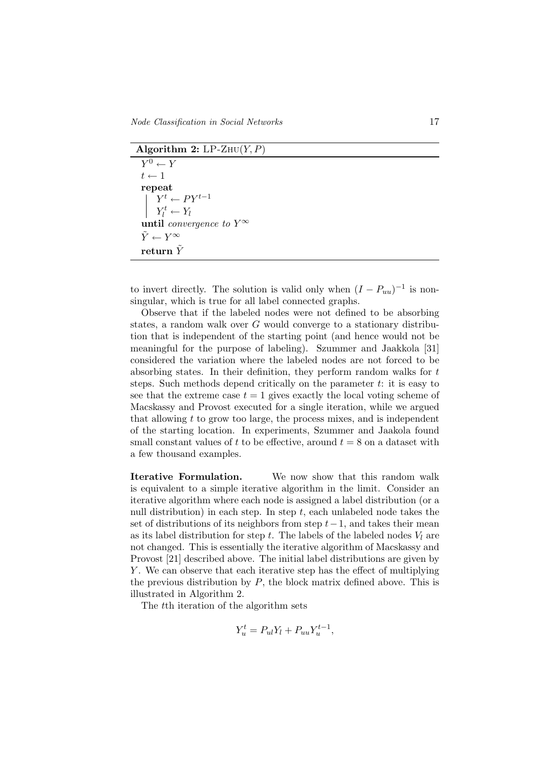| Algorithm 2: $LP\text{-}ZHU(Y,P)$                                                                                   |
|---------------------------------------------------------------------------------------------------------------------|
| $Y^0 \leftarrow Y$                                                                                                  |
| $t \leftarrow 1$                                                                                                    |
| repeat                                                                                                              |
| $\begin{array}{r}\n \begin{array}{r}\n Y^t \leftarrow PY^{t-1} \\ Y^t_l \leftarrow Y_l\n \end{array}\n \end{array}$ |
|                                                                                                                     |
| until <i>convergence</i> to $Y^{\infty}$                                                                            |
| $\tilde{Y} \leftarrow Y^{\infty}$                                                                                   |
| return $\tilde{Y}$                                                                                                  |

to invert directly. The solution is valid only when  $(I - P_{uu})^{-1}$  is nonsingular, which is true for all label connected graphs.

Observe that if the labeled nodes were not defined to be absorbing states, a random walk over  $G$  would converge to a stationary distribution that is independent of the starting point (and hence would not be meaningful for the purpose of labeling). Szummer and Jaakkola [31] considered the variation where the labeled nodes are not forced to be absorbing states. In their definition, they perform random walks for  $t$ steps. Such methods depend critically on the parameter  $t$ : it is easy to see that the extreme case  $t = 1$  gives exactly the local voting scheme of Macskassy and Provost executed for a single iteration, while we argued that allowing  $t$  to grow too large, the process mixes, and is independent of the starting location. In experiments, Szummer and Jaakola found small constant values of t to be effective, around  $t = 8$  on a dataset with a few thousand examples.

Iterative Formulation. We now show that this random walk is equivalent to a simple iterative algorithm in the limit. Consider an iterative algorithm where each node is assigned a label distribution (or a null distribution) in each step. In step  $t$ , each unlabeled node takes the set of distributions of its neighbors from step  $t-1$ , and takes their mean as its label distribution for step t. The labels of the labeled nodes  $V_l$  are not changed. This is essentially the iterative algorithm of Macskassy and Provost [21] described above. The initial label distributions are given by Y. We can observe that each iterative step has the effect of multiplying the previous distribution by  $P$ , the block matrix defined above. This is illustrated in Algorithm 2.

The tth iteration of the algorithm sets

$$
Y_u^t = P_{ul}Y_l + P_{uu}Y_u^{t-1},
$$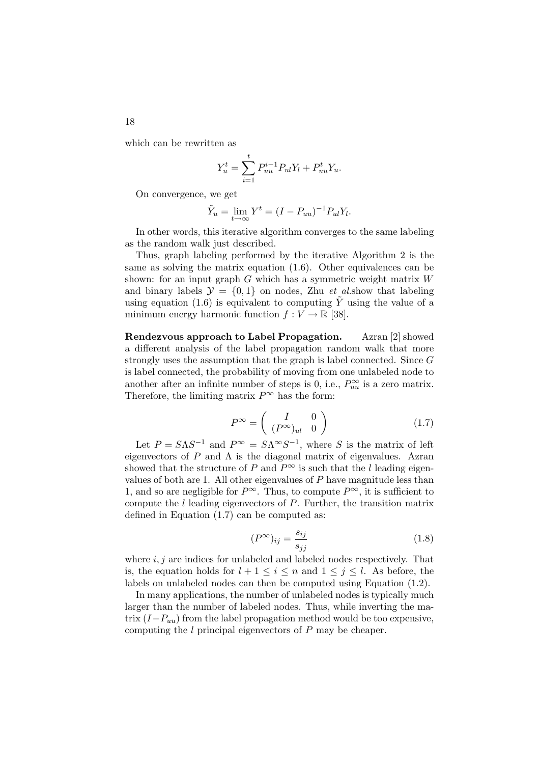which can be rewritten as

$$
Y_u^t = \sum_{i=1}^t P_{uu}^{i-1} P_{ul} Y_l + P_{uu}^t Y_u.
$$

On convergence, we get

$$
\tilde{Y}_u = \lim_{t \to \infty} Y^t = (I - P_{uu})^{-1} P_{ul} Y_l.
$$

In other words, this iterative algorithm converges to the same labeling as the random walk just described.

Thus, graph labeling performed by the iterative Algorithm 2 is the same as solving the matrix equation (1.6). Other equivalences can be shown: for an input graph  $G$  which has a symmetric weight matrix  $W$ and binary labels  $\mathcal{Y} = \{0, 1\}$  on nodes, Zhu *et al.*show that labeling using equation (1.6) is equivalent to computing  $\tilde{Y}$  using the value of a minimum energy harmonic function  $f: V \to \mathbb{R}$  [38].

Rendezvous approach to Label Propagation. Azran [2] showed a different analysis of the label propagation random walk that more strongly uses the assumption that the graph is label connected. Since G is label connected, the probability of moving from one unlabeled node to another after an infinite number of steps is 0, i.e.,  $P_{uu}^{\infty}$  is a zero matrix. Therefore, the limiting matrix  $P^{\infty}$  has the form:

$$
P^{\infty} = \begin{pmatrix} I & 0 \\ (P^{\infty})_{ul} & 0 \end{pmatrix}
$$
 (1.7)

Let  $P = S\Lambda S^{-1}$  and  $P^{\infty} = S\Lambda^{\infty}S^{-1}$ , where S is the matrix of left eigenvectors of  $P$  and  $\Lambda$  is the diagonal matrix of eigenvalues. Azran showed that the structure of P and  $P^{\infty}$  is such that the l leading eigenvalues of both are 1. All other eigenvalues of  $P$  have magnitude less than 1, and so are negligible for  $P^{\infty}$ . Thus, to compute  $P^{\infty}$ , it is sufficient to compute the l leading eigenvectors of P. Further, the transition matrix defined in Equation (1.7) can be computed as:

$$
(P^{\infty})_{ij} = \frac{s_{ij}}{s_{jj}} \tag{1.8}
$$

where  $i, j$  are indices for unlabeled and labeled nodes respectively. That is, the equation holds for  $l + 1 \leq i \leq n$  and  $1 \leq j \leq l$ . As before, the labels on unlabeled nodes can then be computed using Equation (1.2).

In many applications, the number of unlabeled nodes is typically much larger than the number of labeled nodes. Thus, while inverting the matrix  $(I-P_{uu})$  from the label propagation method would be too expensive, computing the l principal eigenvectors of P may be cheaper.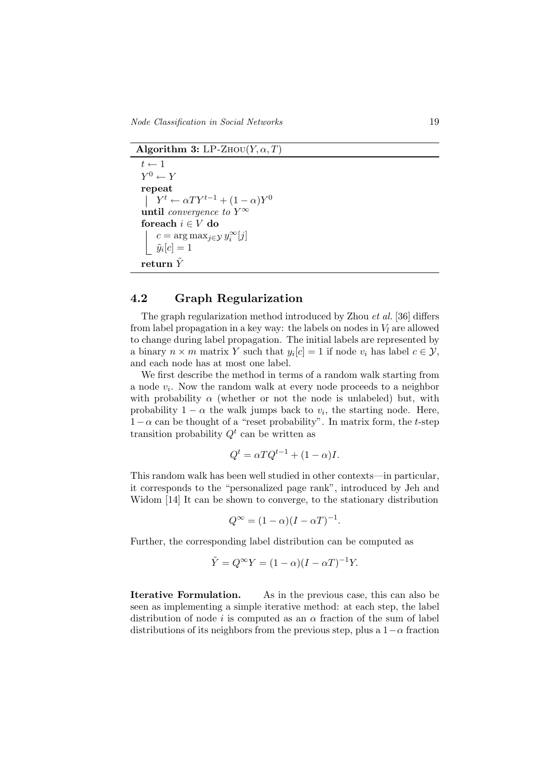Algorithm 3:  $LP$ - $Z$ HOU $(Y, \alpha, T)$ 

```
t \leftarrow 1Y^0 \leftarrow Yrepeat
     Y^t \leftarrow \alpha T Y^{t-1} + (1 - \alpha) Y^0until convergence to Y^{\infty}foreach i \in V do
     c = \arg \max_{j \in \mathcal{Y}} y_i^{\infty}[j]\tilde{y}_i[c] = 1return \tilde{Y}
```
### 4.2 Graph Regularization

The graph regularization method introduced by Zhou et al. [36] differs from label propagation in a key way: the labels on nodes in  $V_l$  are allowed to change during label propagation. The initial labels are represented by a binary  $n \times m$  matrix Y such that  $y_i[c] = 1$  if node  $v_i$  has label  $c \in \mathcal{Y}$ , and each node has at most one label.

We first describe the method in terms of a random walk starting from a node  $v_i$ . Now the random walk at every node proceeds to a neighbor with probability  $\alpha$  (whether or not the node is unlabeled) but, with probability  $1 - \alpha$  the walk jumps back to  $v_i$ , the starting node. Here,  $1-\alpha$  can be thought of a "reset probability". In matrix form, the t-step transition probability  $Q^t$  can be written as

$$
Q^t = \alpha T Q^{t-1} + (1 - \alpha)I.
$$

This random walk has been well studied in other contexts—in particular, it corresponds to the "personalized page rank", introduced by Jeh and Widom [14] It can be shown to converge, to the stationary distribution

$$
Q^{\infty} = (1 - \alpha)(I - \alpha T)^{-1}.
$$

Further, the corresponding label distribution can be computed as

$$
\tilde{Y} = Q^{\infty} Y = (1 - \alpha)(I - \alpha T)^{-1} Y.
$$

Iterative Formulation. As in the previous case, this can also be seen as implementing a simple iterative method: at each step, the label distribution of node i is computed as an  $\alpha$  fraction of the sum of label distributions of its neighbors from the previous step, plus a  $1-\alpha$  fraction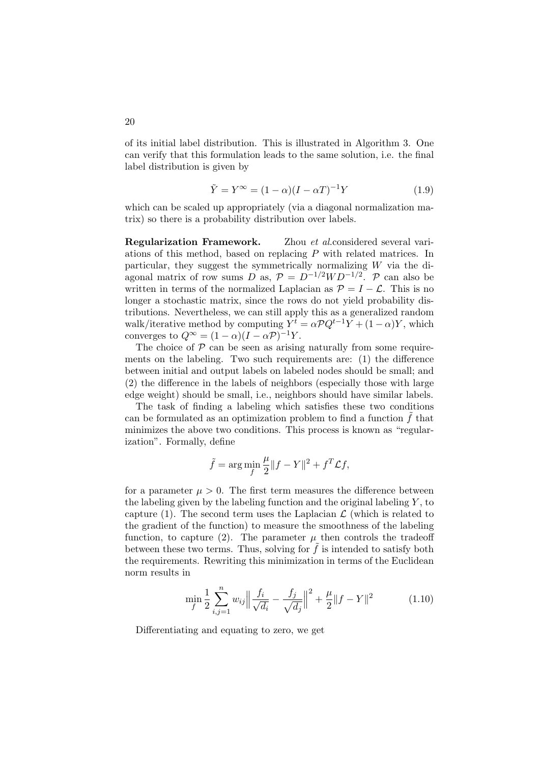of its initial label distribution. This is illustrated in Algorithm 3. One can verify that this formulation leads to the same solution, i.e. the final label distribution is given by

$$
\tilde{Y} = Y^{\infty} = (1 - \alpha)(I - \alpha T)^{-1}Y
$$
\n(1.9)

which can be scaled up appropriately (via a diagonal normalization matrix) so there is a probability distribution over labels.

Regularization Framework. Zhou et al.considered several variations of this method, based on replacing P with related matrices. In particular, they suggest the symmetrically normalizing  $W$  via the diagonal matrix of row sums D as,  $\mathcal{P} = D^{-1/2}WD^{-1/2}$ .  $\mathcal{P}$  can also be written in terms of the normalized Laplacian as  $\mathcal{P} = I - \mathcal{L}$ . This is no longer a stochastic matrix, since the rows do not yield probability distributions. Nevertheless, we can still apply this as a generalized random walk/iterative method by computing  $Y^t = \alpha \mathcal{P} Q^{t-1} Y + (1 - \alpha) Y$ , which converges to  $Q^{\infty} = (1 - \alpha)(I - \alpha \mathcal{P})^{-1}Y$ .

The choice of  $P$  can be seen as arising naturally from some requirements on the labeling. Two such requirements are: (1) the difference between initial and output labels on labeled nodes should be small; and (2) the difference in the labels of neighbors (especially those with large edge weight) should be small, i.e., neighbors should have similar labels.

The task of finding a labeling which satisfies these two conditions can be formulated as an optimization problem to find a function  $f$  that minimizes the above two conditions. This process is known as "regularization". Formally, define

$$
\tilde{f} = \arg\min_{f} \frac{\mu}{2} ||f - Y||^2 + f^T \mathcal{L} f,
$$

for a parameter  $\mu > 0$ . The first term measures the difference between the labeling given by the labeling function and the original labeling  $Y$ , to capture (1). The second term uses the Laplacian  $\mathcal L$  (which is related to the gradient of the function) to measure the smoothness of the labeling function, to capture (2). The parameter  $\mu$  then controls the tradeoff between these two terms. Thus, solving for  $f$  is intended to satisfy both the requirements. Rewriting this minimization in terms of the Euclidean norm results in

$$
\min_{f} \frac{1}{2} \sum_{i,j=1}^{n} w_{ij} \left\| \frac{f_i}{\sqrt{d_i}} - \frac{f_j}{\sqrt{d_j}} \right\|^2 + \frac{\mu}{2} \|f - Y\|^2 \tag{1.10}
$$

Differentiating and equating to zero, we get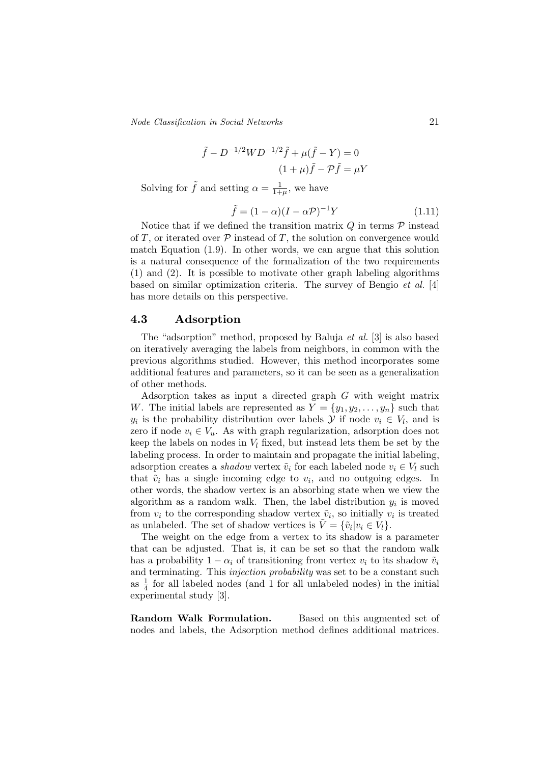Node Classification in Social Networks 21

$$
\tilde{f} - D^{-1/2}WD^{-1/2}\tilde{f} + \mu(\tilde{f} - Y) = 0
$$

$$
(1 + \mu)\tilde{f} - \mathcal{P}\tilde{f} = \mu Y
$$

Solving for  $\tilde{f}$  and setting  $\alpha = \frac{1}{1+\alpha}$  $\frac{1}{1+\mu}$ , we have

$$
\tilde{f} = (1 - \alpha)(I - \alpha \mathcal{P})^{-1}Y
$$
\n(1.11)

Notice that if we defined the transition matrix  $Q$  in terms  $\mathcal P$  instead of T, or iterated over  $P$  instead of T, the solution on convergence would match Equation (1.9). In other words, we can argue that this solution is a natural consequence of the formalization of the two requirements (1) and (2). It is possible to motivate other graph labeling algorithms based on similar optimization criteria. The survey of Bengio et al. [4] has more details on this perspective.

#### 4.3 Adsorption

The "adsorption" method, proposed by Baluja et al. [3] is also based on iteratively averaging the labels from neighbors, in common with the previous algorithms studied. However, this method incorporates some additional features and parameters, so it can be seen as a generalization of other methods.

Adsorption takes as input a directed graph G with weight matrix W. The initial labels are represented as  $Y = \{y_1, y_2, \ldots, y_n\}$  such that  $y_i$  is the probability distribution over labels  $\mathcal{Y}$  if node  $v_i \in V_l$ , and is zero if node  $v_i \in V_u$ . As with graph regularization, adsorption does not keep the labels on nodes in  $V_l$  fixed, but instead lets them be set by the labeling process. In order to maintain and propagate the initial labeling, adsorption creates a *shadow* vertex  $\tilde{v}_i$  for each labeled node  $v_i \in V_l$  such that  $\tilde{v}_i$  has a single incoming edge to  $v_i$ , and no outgoing edges. In other words, the shadow vertex is an absorbing state when we view the algorithm as a random walk. Then, the label distribution  $y_i$  is moved from  $v_i$  to the corresponding shadow vertex  $\tilde{v}_i$ , so initially  $v_i$  is treated as unlabeled. The set of shadow vertices is  $\tilde{V} = {\tilde{v}_i | v_i \in V_l}.$ 

The weight on the edge from a vertex to its shadow is a parameter that can be adjusted. That is, it can be set so that the random walk has a probability  $1 - \alpha_i$  of transitioning from vertex  $v_i$  to its shadow  $\tilde{v}_i$ and terminating. This injection probability was set to be a constant such as  $\frac{1}{4}$  for all labeled nodes (and 1 for all unlabeled nodes) in the initial experimental study [3].

Random Walk Formulation. Based on this augmented set of nodes and labels, the Adsorption method defines additional matrices.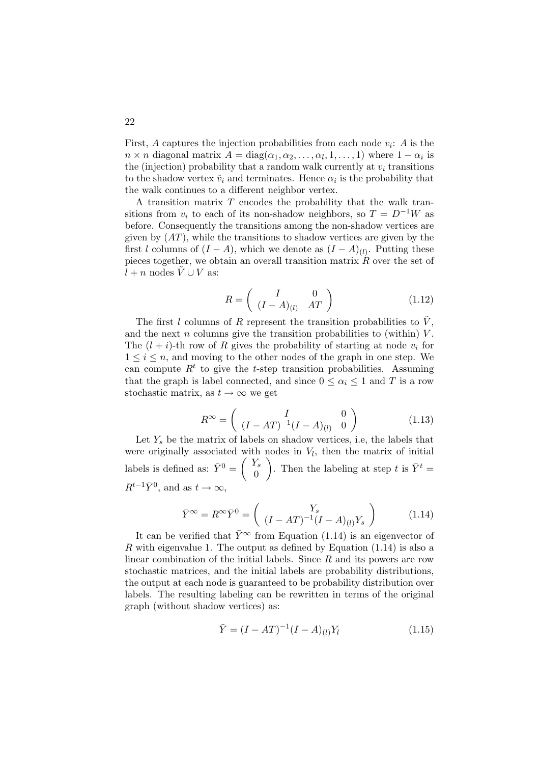First, A captures the injection probabilities from each node  $v_i$ : A is the  $n \times n$  diagonal matrix  $A = diag(\alpha_1, \alpha_2, \dots, \alpha_l, 1, \dots, 1)$  where  $1 - \alpha_i$  is the (injection) probability that a random walk currently at  $v_i$  transitions to the shadow vertex  $\tilde{v}_i$  and terminates. Hence  $\alpha_i$  is the probability that the walk continues to a different neighbor vertex.

A transition matrix T encodes the probability that the walk transitions from  $v_i$  to each of its non-shadow neighbors, so  $T = D^{-1}W$  as before. Consequently the transitions among the non-shadow vertices are given by  $(AT)$ , while the transitions to shadow vertices are given by the first l columns of  $(I - A)$ , which we denote as  $(I - A)_{(l)}$ . Putting these pieces together, we obtain an overall transition matrix  $R$  over the set of  $l + n$  nodes  $\tilde{V} \cup V$  as:

$$
R = \left(\begin{array}{cc} I & 0\\ (I - A)_{(l)} & AT \end{array}\right) \tag{1.12}
$$

The first l columns of R represent the transition probabilities to  $\tilde{V}$ , and the next  $n$  columns give the transition probabilities to (within)  $V$ . The  $(l + i)$ -th row of R gives the probability of starting at node  $v_i$  for  $1 \leq i \leq n$ , and moving to the other nodes of the graph in one step. We can compute  $R<sup>t</sup>$  to give the t-step transition probabilities. Assuming that the graph is label connected, and since  $0 \leq \alpha_i \leq 1$  and T is a row stochastic matrix, as  $t \to \infty$  we get

$$
R^{\infty} = \begin{pmatrix} I & 0 \\ (I - AT)^{-1}(I - A)_{(l)} & 0 \end{pmatrix}
$$
 (1.13)

Let  $Y_s$  be the matrix of labels on shadow vertices, i.e, the labels that were originally associated with nodes in  $V_l$ , then the matrix of initial labels is defined as:  $\bar{Y}^0 = \begin{pmatrix} Y_s \\ 0 \end{pmatrix}$  $\boldsymbol{0}$ ). Then the labeling at step t is  $\bar{Y}^t =$  $R^{t-1}\bar{Y}^0$ , and as  $t \to \infty$ ,

$$
\bar{Y}^{\infty} = R^{\infty} \bar{Y}^{0} = \begin{pmatrix} Y_s \\ (I - AT)^{-1} (I - A)_{(l)} Y_s \end{pmatrix}
$$
(1.14)

It can be verified that  $\bar{Y}^{\infty}$  from Equation (1.14) is an eigenvector of R with eigenvalue 1. The output as defined by Equation  $(1.14)$  is also a linear combination of the initial labels. Since  $R$  and its powers are row stochastic matrices, and the initial labels are probability distributions, the output at each node is guaranteed to be probability distribution over labels. The resulting labeling can be rewritten in terms of the original graph (without shadow vertices) as:

$$
\tilde{Y} = (I - AT)^{-1} (I - A)_{(l)} Y_l \tag{1.15}
$$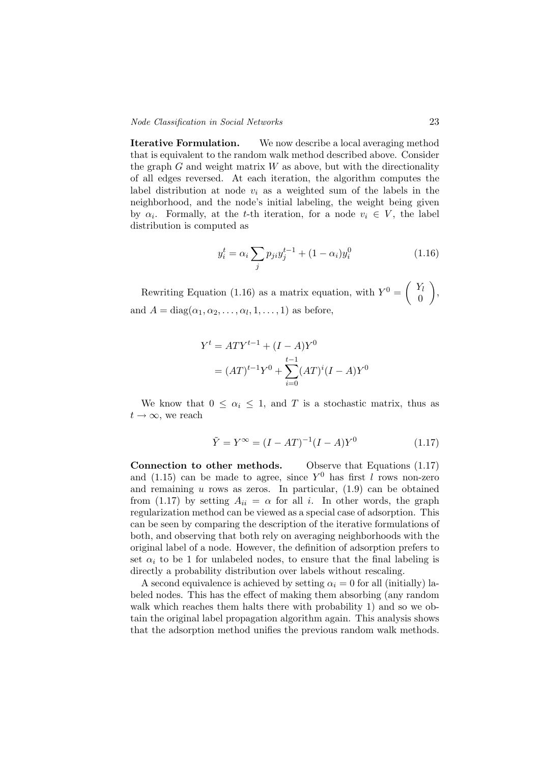Iterative Formulation. We now describe a local averaging method that is equivalent to the random walk method described above. Consider the graph  $G$  and weight matrix  $W$  as above, but with the directionality of all edges reversed. At each iteration, the algorithm computes the label distribution at node  $v_i$  as a weighted sum of the labels in the neighborhood, and the node's initial labeling, the weight being given by  $\alpha_i$ . Formally, at the t-th iteration, for a node  $v_i \in V$ , the label distribution is computed as

$$
y_i^t = \alpha_i \sum_j p_{ji} y_j^{t-1} + (1 - \alpha_i) y_i^0
$$
 (1.16)

Rewriting Equation (1.16) as a matrix equation, with  $Y^0 = \begin{pmatrix} Y_1 \\ 0 \end{pmatrix}$ 0  $\bigg),$ and  $A = diag(\alpha_1, \alpha_2, \dots, \alpha_l, 1, \dots, 1)$  as before,

$$
Y^{t} = ATY^{t-1} + (I - A)Y^{0}
$$
  
= 
$$
(AT)^{t-1}Y^{0} + \sum_{i=0}^{t-1} (AT)^{i}(I - A)Y^{0}
$$

We know that  $0 \leq \alpha_i \leq 1$ , and T is a stochastic matrix, thus as  $t \to \infty$ , we reach

$$
\tilde{Y} = Y^{\infty} = (I - AT)^{-1}(I - A)Y^{0}
$$
\n(1.17)

Connection to other methods. Observe that Equations  $(1.17)$ and (1.15) can be made to agree, since  $Y^0$  has first l rows non-zero and remaining  $u$  rows as zeros. In particular,  $(1.9)$  can be obtained from (1.17) by setting  $A_{ii} = \alpha$  for all i. In other words, the graph regularization method can be viewed as a special case of adsorption. This can be seen by comparing the description of the iterative formulations of both, and observing that both rely on averaging neighborhoods with the original label of a node. However, the definition of adsorption prefers to set  $\alpha_i$  to be 1 for unlabeled nodes, to ensure that the final labeling is directly a probability distribution over labels without rescaling.

A second equivalence is achieved by setting  $\alpha_i = 0$  for all (initially) labeled nodes. This has the effect of making them absorbing (any random walk which reaches them halts there with probability 1) and so we obtain the original label propagation algorithm again. This analysis shows that the adsorption method unifies the previous random walk methods.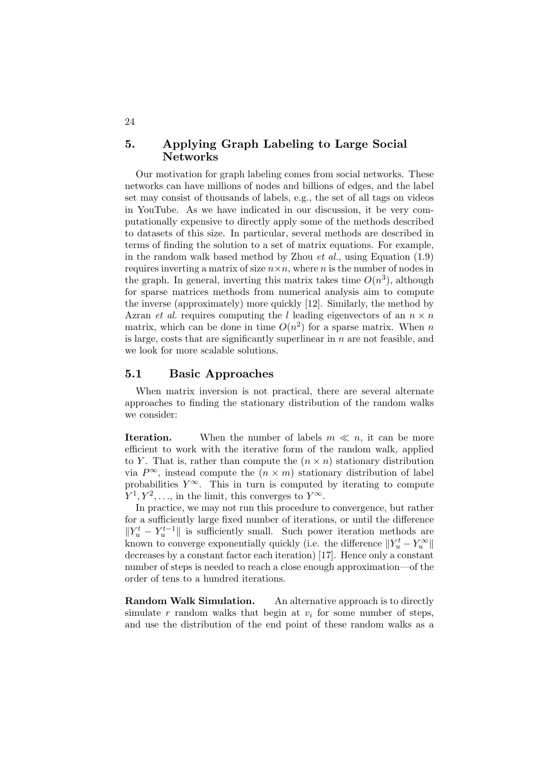# 5. Applying Graph Labeling to Large Social **Networks**

Our motivation for graph labeling comes from social networks. These networks can have millions of nodes and billions of edges, and the label set may consist of thousands of labels, e.g., the set of all tags on videos in YouTube. As we have indicated in our discussion, it be very computationally expensive to directly apply some of the methods described to datasets of this size. In particular, several methods are described in terms of finding the solution to a set of matrix equations. For example, in the random walk based method by Zhou *et al.*, using Equation  $(1.9)$ requires inverting a matrix of size  $n \times n$ , where n is the number of nodes in the graph. In general, inverting this matrix takes time  $O(n^3)$ , although for sparse matrices methods from numerical analysis aim to compute the inverse (approximately) more quickly [12]. Similarly, the method by Azran *et al.* requires computing the l leading eigenvectors of an  $n \times n$ matrix, which can be done in time  $O(n^2)$  for a sparse matrix. When n is large, costs that are significantly superlinear in  $n$  are not feasible, and we look for more scalable solutions.

### 5.1 Basic Approaches

When matrix inversion is not practical, there are several alternate approaches to finding the stationary distribution of the random walks we consider:

**Iteration.** When the number of labels  $m \ll n$ , it can be more efficient to work with the iterative form of the random walk, applied to Y. That is, rather than compute the  $(n \times n)$  stationary distribution via  $P^{\infty}$ , instead compute the  $(n \times m)$  stationary distribution of label probabilities  $Y^{\infty}$ . This in turn is computed by iterating to compute  $Y^1, Y^2, \ldots$ , in the limit, this converges to  $Y^{\infty}$ .

In practice, we may not run this procedure to convergence, but rather for a sufficiently large fixed number of iterations, or until the difference  $||Y_u^t - Y_u^{t-1}||$  is sufficiently small. Such power iteration methods are known to converge exponentially quickly (i.e. the difference  $||Y_u^t - Y_u^{\infty}||$ decreases by a constant factor each iteration) [17]. Hence only a constant number of steps is needed to reach a close enough approximation—of the order of tens to a hundred iterations.

Random Walk Simulation. An alternative approach is to directly simulate r random walks that begin at  $v_i$  for some number of steps, and use the distribution of the end point of these random walks as a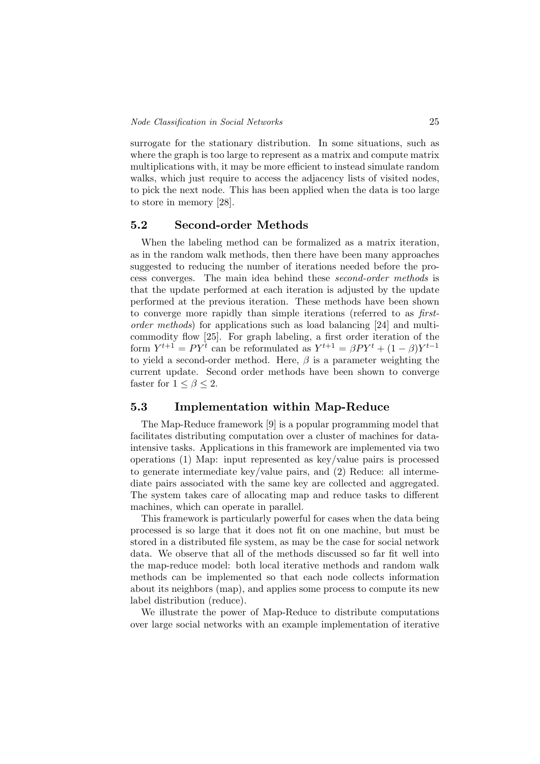surrogate for the stationary distribution. In some situations, such as where the graph is too large to represent as a matrix and compute matrix multiplications with, it may be more efficient to instead simulate random walks, which just require to access the adjacency lists of visited nodes, to pick the next node. This has been applied when the data is too large to store in memory [28].

# 5.2 Second-order Methods

When the labeling method can be formalized as a matrix iteration, as in the random walk methods, then there have been many approaches suggested to reducing the number of iterations needed before the process converges. The main idea behind these second-order methods is that the update performed at each iteration is adjusted by the update performed at the previous iteration. These methods have been shown to converge more rapidly than simple iterations (referred to as firstorder methods) for applications such as load balancing [24] and multicommodity flow [25]. For graph labeling, a first order iteration of the form  $Y^{t+1} = PY^t$  can be reformulated as  $Y^{t+1} = \beta PY^t + (1 - \beta)Y^{t-1}$ to yield a second-order method. Here,  $\beta$  is a parameter weighting the current update. Second order methods have been shown to converge faster for  $1 < \beta < 2$ .

### 5.3 Implementation within Map-Reduce

The Map-Reduce framework [9] is a popular programming model that facilitates distributing computation over a cluster of machines for dataintensive tasks. Applications in this framework are implemented via two operations (1) Map: input represented as key/value pairs is processed to generate intermediate key/value pairs, and (2) Reduce: all intermediate pairs associated with the same key are collected and aggregated. The system takes care of allocating map and reduce tasks to different machines, which can operate in parallel.

This framework is particularly powerful for cases when the data being processed is so large that it does not fit on one machine, but must be stored in a distributed file system, as may be the case for social network data. We observe that all of the methods discussed so far fit well into the map-reduce model: both local iterative methods and random walk methods can be implemented so that each node collects information about its neighbors (map), and applies some process to compute its new label distribution (reduce).

We illustrate the power of Map-Reduce to distribute computations over large social networks with an example implementation of iterative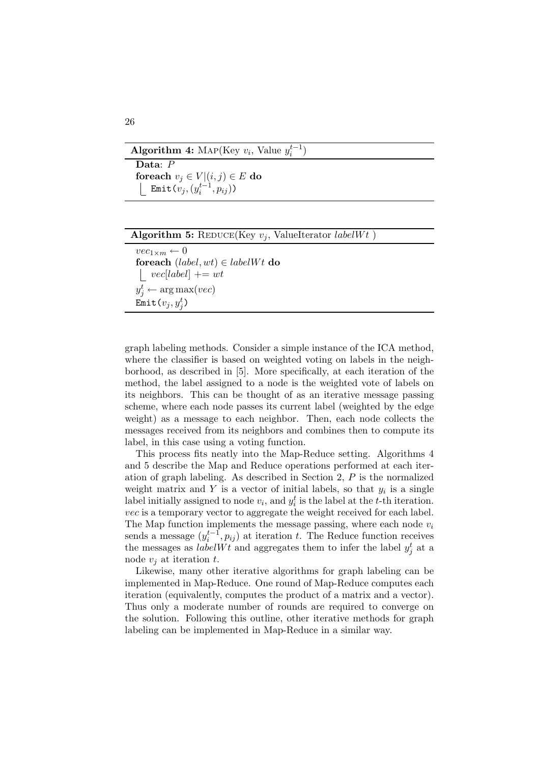| <b>Algorithm 4:</b> MAP(Key $v_i$ , Value $y_i^{t-1}$ ) |
|---------------------------------------------------------|
| Data: $P$                                               |
| foreach $v_i \in V   (i, j) \in E$ do                   |
| <b>Emit</b> $(v_i, (y_i^{t-1}, p_{ij}))$                |

|  |  | Algorithm 5: REDUCE(Key $v_j$ , ValueIterator labelWt) |  |  |  |  |
|--|--|--------------------------------------------------------|--|--|--|--|
|--|--|--------------------------------------------------------|--|--|--|--|

 $vec_{1\times m} \leftarrow 0$ foreach  $(label, wt) \in labelWt$  do |  $vec[label] += wt$  $y_j^t \leftarrow \arg \max (vec)$  $\texttt{Emit}(v_j, y_j^t)$ 

graph labeling methods. Consider a simple instance of the ICA method, where the classifier is based on weighted voting on labels in the neighborhood, as described in [5]. More specifically, at each iteration of the method, the label assigned to a node is the weighted vote of labels on its neighbors. This can be thought of as an iterative message passing scheme, where each node passes its current label (weighted by the edge weight) as a message to each neighbor. Then, each node collects the messages received from its neighbors and combines then to compute its label, in this case using a voting function.

This process fits neatly into the Map-Reduce setting. Algorithms 4 and 5 describe the Map and Reduce operations performed at each iteration of graph labeling. As described in Section 2, P is the normalized weight matrix and Y is a vector of initial labels, so that  $y_i$  is a single label initially assigned to node  $v_i$ , and  $y_i^t$  is the label at the *t*-th iteration. vec is a temporary vector to aggregate the weight received for each label. The Map function implements the message passing, where each node  $v_i$ sends a message  $(y_i^{t-1}, p_{ij})$  at iteration t. The Reduce function receives the messages as label Wt and aggregates them to infer the label  $y_j^t$  at a node  $v_i$  at iteration t.

Likewise, many other iterative algorithms for graph labeling can be implemented in Map-Reduce. One round of Map-Reduce computes each iteration (equivalently, computes the product of a matrix and a vector). Thus only a moderate number of rounds are required to converge on the solution. Following this outline, other iterative methods for graph labeling can be implemented in Map-Reduce in a similar way.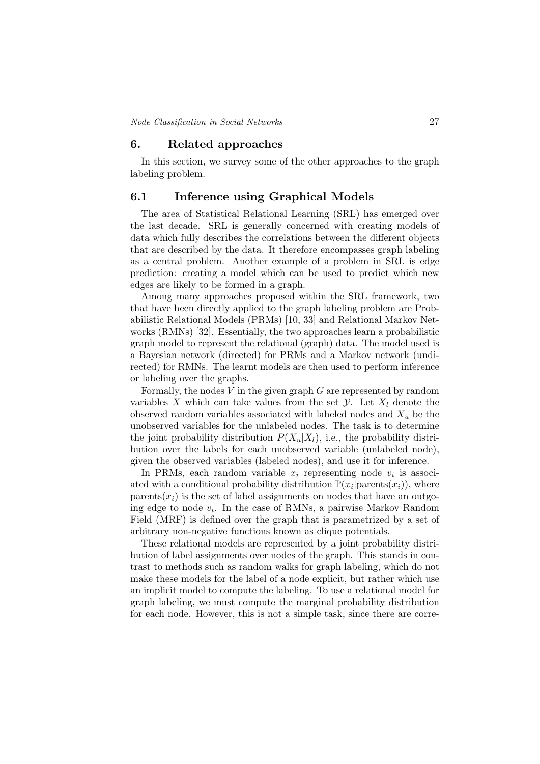#### 6. Related approaches

In this section, we survey some of the other approaches to the graph labeling problem.

#### 6.1 Inference using Graphical Models

The area of Statistical Relational Learning (SRL) has emerged over the last decade. SRL is generally concerned with creating models of data which fully describes the correlations between the different objects that are described by the data. It therefore encompasses graph labeling as a central problem. Another example of a problem in SRL is edge prediction: creating a model which can be used to predict which new edges are likely to be formed in a graph.

Among many approaches proposed within the SRL framework, two that have been directly applied to the graph labeling problem are Probabilistic Relational Models (PRMs) [10, 33] and Relational Markov Networks (RMNs) [32]. Essentially, the two approaches learn a probabilistic graph model to represent the relational (graph) data. The model used is a Bayesian network (directed) for PRMs and a Markov network (undirected) for RMNs. The learnt models are then used to perform inference or labeling over the graphs.

Formally, the nodes  $V$  in the given graph  $G$  are represented by random variables X which can take values from the set  $\mathcal{Y}$ . Let  $X_l$  denote the observed random variables associated with labeled nodes and  $X_u$  be the unobserved variables for the unlabeled nodes. The task is to determine the joint probability distribution  $P(X_u|X_l)$ , i.e., the probability distribution over the labels for each unobserved variable (unlabeled node), given the observed variables (labeled nodes), and use it for inference.

In PRMs, each random variable  $x_i$  representing node  $v_i$  is associated with a conditional probability distribution  $\mathbb{P}(x_i | \text{parents}(x_i))$ , where  $parents(x_i)$  is the set of label assignments on nodes that have an outgoing edge to node  $v_i$ . In the case of RMNs, a pairwise Markov Random Field (MRF) is defined over the graph that is parametrized by a set of arbitrary non-negative functions known as clique potentials.

These relational models are represented by a joint probability distribution of label assignments over nodes of the graph. This stands in contrast to methods such as random walks for graph labeling, which do not make these models for the label of a node explicit, but rather which use an implicit model to compute the labeling. To use a relational model for graph labeling, we must compute the marginal probability distribution for each node. However, this is not a simple task, since there are corre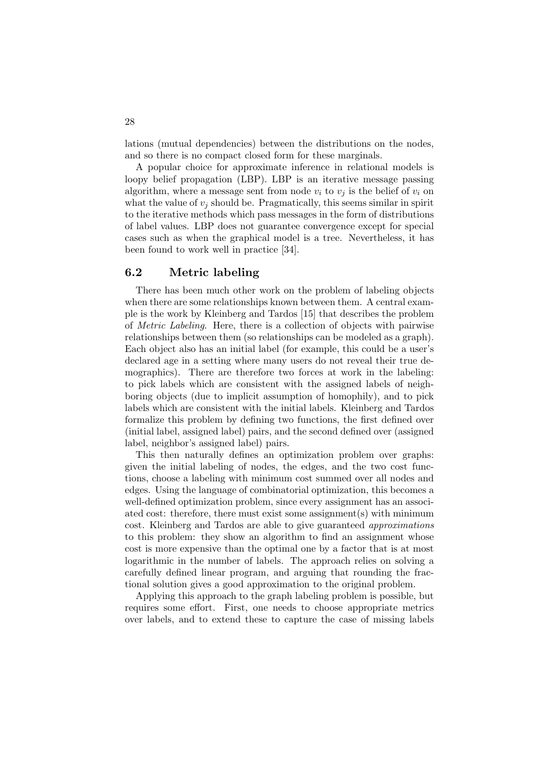lations (mutual dependencies) between the distributions on the nodes, and so there is no compact closed form for these marginals.

A popular choice for approximate inference in relational models is loopy belief propagation (LBP). LBP is an iterative message passing algorithm, where a message sent from node  $v_i$  to  $v_j$  is the belief of  $v_i$  on what the value of  $v_i$  should be. Pragmatically, this seems similar in spirit to the iterative methods which pass messages in the form of distributions of label values. LBP does not guarantee convergence except for special cases such as when the graphical model is a tree. Nevertheless, it has been found to work well in practice [34].

### 6.2 Metric labeling

There has been much other work on the problem of labeling objects when there are some relationships known between them. A central example is the work by Kleinberg and Tardos [15] that describes the problem of Metric Labeling. Here, there is a collection of objects with pairwise relationships between them (so relationships can be modeled as a graph). Each object also has an initial label (for example, this could be a user's declared age in a setting where many users do not reveal their true demographics). There are therefore two forces at work in the labeling: to pick labels which are consistent with the assigned labels of neighboring objects (due to implicit assumption of homophily), and to pick labels which are consistent with the initial labels. Kleinberg and Tardos formalize this problem by defining two functions, the first defined over (initial label, assigned label) pairs, and the second defined over (assigned label, neighbor's assigned label) pairs.

This then naturally defines an optimization problem over graphs: given the initial labeling of nodes, the edges, and the two cost functions, choose a labeling with minimum cost summed over all nodes and edges. Using the language of combinatorial optimization, this becomes a well-defined optimization problem, since every assignment has an associated cost: therefore, there must exist some assignment(s) with minimum cost. Kleinberg and Tardos are able to give guaranteed approximations to this problem: they show an algorithm to find an assignment whose cost is more expensive than the optimal one by a factor that is at most logarithmic in the number of labels. The approach relies on solving a carefully defined linear program, and arguing that rounding the fractional solution gives a good approximation to the original problem.

Applying this approach to the graph labeling problem is possible, but requires some effort. First, one needs to choose appropriate metrics over labels, and to extend these to capture the case of missing labels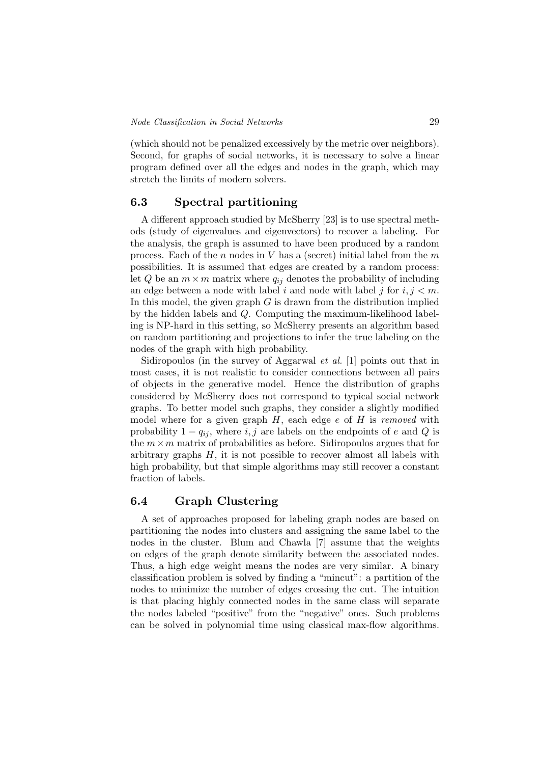(which should not be penalized excessively by the metric over neighbors). Second, for graphs of social networks, it is necessary to solve a linear program defined over all the edges and nodes in the graph, which may stretch the limits of modern solvers.

#### 6.3 Spectral partitioning

A different approach studied by McSherry [23] is to use spectral methods (study of eigenvalues and eigenvectors) to recover a labeling. For the analysis, the graph is assumed to have been produced by a random process. Each of the n nodes in  $V$  has a (secret) initial label from the  $m$ possibilities. It is assumed that edges are created by a random process: let Q be an  $m \times m$  matrix where  $q_{ij}$  denotes the probability of including an edge between a node with label i and node with label j for  $i, j < m$ . In this model, the given graph  $G$  is drawn from the distribution implied by the hidden labels and Q. Computing the maximum-likelihood labeling is NP-hard in this setting, so McSherry presents an algorithm based on random partitioning and projections to infer the true labeling on the nodes of the graph with high probability.

Sidiropoulos (in the survey of Aggarwal et al. [1] points out that in most cases, it is not realistic to consider connections between all pairs of objects in the generative model. Hence the distribution of graphs considered by McSherry does not correspond to typical social network graphs. To better model such graphs, they consider a slightly modified model where for a given graph  $H$ , each edge  $e$  of  $H$  is removed with probability  $1 - q_{ij}$ , where i, j are labels on the endpoints of e and Q is the  $m \times m$  matrix of probabilities as before. Sidiropoulos argues that for arbitrary graphs  $H$ , it is not possible to recover almost all labels with high probability, but that simple algorithms may still recover a constant fraction of labels.

#### 6.4 Graph Clustering

A set of approaches proposed for labeling graph nodes are based on partitioning the nodes into clusters and assigning the same label to the nodes in the cluster. Blum and Chawla [7] assume that the weights on edges of the graph denote similarity between the associated nodes. Thus, a high edge weight means the nodes are very similar. A binary classification problem is solved by finding a "mincut": a partition of the nodes to minimize the number of edges crossing the cut. The intuition is that placing highly connected nodes in the same class will separate the nodes labeled "positive" from the "negative" ones. Such problems can be solved in polynomial time using classical max-flow algorithms.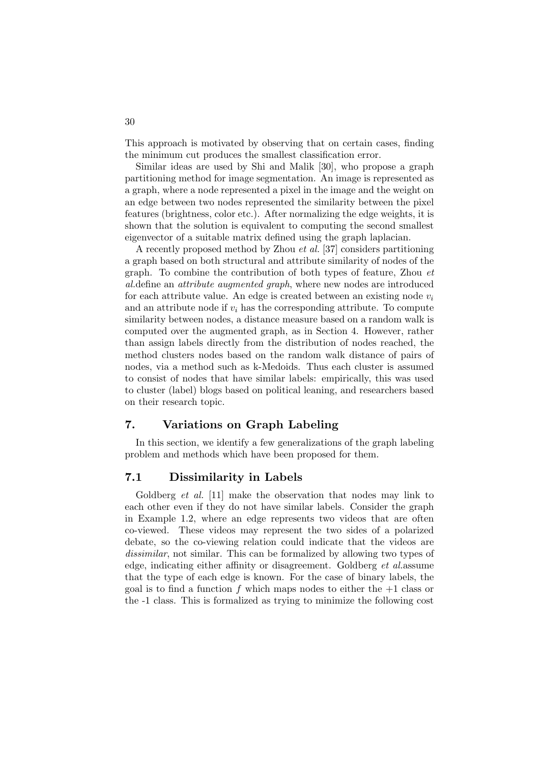This approach is motivated by observing that on certain cases, finding the minimum cut produces the smallest classification error.

Similar ideas are used by Shi and Malik [30], who propose a graph partitioning method for image segmentation. An image is represented as a graph, where a node represented a pixel in the image and the weight on an edge between two nodes represented the similarity between the pixel features (brightness, color etc.). After normalizing the edge weights, it is shown that the solution is equivalent to computing the second smallest eigenvector of a suitable matrix defined using the graph laplacian.

A recently proposed method by Zhou et al. [37] considers partitioning a graph based on both structural and attribute similarity of nodes of the graph. To combine the contribution of both types of feature, Zhou et al.define an attribute augmented graph, where new nodes are introduced for each attribute value. An edge is created between an existing node  $v_i$ and an attribute node if  $v_i$  has the corresponding attribute. To compute similarity between nodes, a distance measure based on a random walk is computed over the augmented graph, as in Section 4. However, rather than assign labels directly from the distribution of nodes reached, the method clusters nodes based on the random walk distance of pairs of nodes, via a method such as k-Medoids. Thus each cluster is assumed to consist of nodes that have similar labels: empirically, this was used to cluster (label) blogs based on political leaning, and researchers based on their research topic.

### 7. Variations on Graph Labeling

In this section, we identify a few generalizations of the graph labeling problem and methods which have been proposed for them.

# 7.1 Dissimilarity in Labels

Goldberg *et al.* [11] make the observation that nodes may link to each other even if they do not have similar labels. Consider the graph in Example 1.2, where an edge represents two videos that are often co-viewed. These videos may represent the two sides of a polarized debate, so the co-viewing relation could indicate that the videos are dissimilar, not similar. This can be formalized by allowing two types of edge, indicating either affinity or disagreement. Goldberg et al.assume that the type of each edge is known. For the case of binary labels, the goal is to find a function f which maps nodes to either the  $+1$  class or the -1 class. This is formalized as trying to minimize the following cost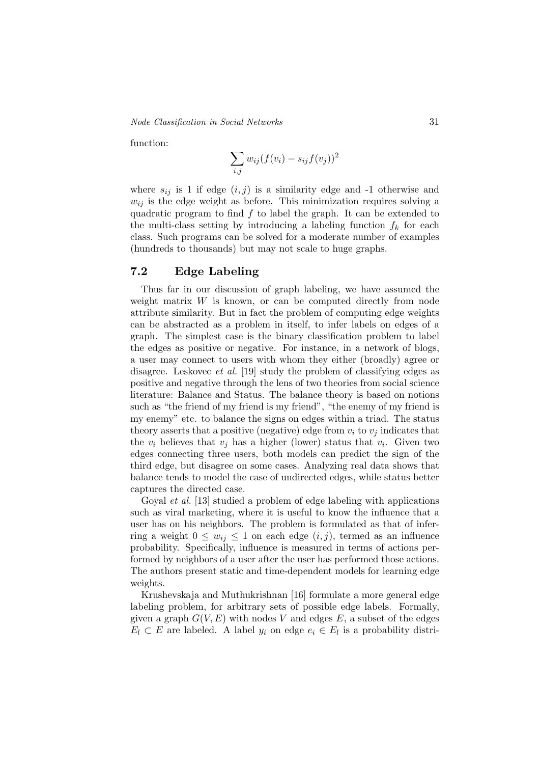function:

$$
\sum_{i,j} w_{ij} (f(v_i) - s_{ij} f(v_j))^2
$$

where  $s_{ij}$  is 1 if edge  $(i, j)$  is a similarity edge and -1 otherwise and  $w_{ij}$  is the edge weight as before. This minimization requires solving a quadratic program to find  $f$  to label the graph. It can be extended to the multi-class setting by introducing a labeling function  $f_k$  for each class. Such programs can be solved for a moderate number of examples (hundreds to thousands) but may not scale to huge graphs.

#### 7.2 Edge Labeling

Thus far in our discussion of graph labeling, we have assumed the weight matrix  $W$  is known, or can be computed directly from node attribute similarity. But in fact the problem of computing edge weights can be abstracted as a problem in itself, to infer labels on edges of a graph. The simplest case is the binary classification problem to label the edges as positive or negative. For instance, in a network of blogs, a user may connect to users with whom they either (broadly) agree or disagree. Leskovec et al. [19] study the problem of classifying edges as positive and negative through the lens of two theories from social science literature: Balance and Status. The balance theory is based on notions such as "the friend of my friend is my friend", "the enemy of my friend is my enemy" etc. to balance the signs on edges within a triad. The status theory asserts that a positive (negative) edge from  $v_i$  to  $v_j$  indicates that the  $v_i$  believes that  $v_j$  has a higher (lower) status that  $v_i$ . Given two edges connecting three users, both models can predict the sign of the third edge, but disagree on some cases. Analyzing real data shows that balance tends to model the case of undirected edges, while status better captures the directed case.

Goyal et al. [13] studied a problem of edge labeling with applications such as viral marketing, where it is useful to know the influence that a user has on his neighbors. The problem is formulated as that of inferring a weight  $0 \leq w_{ij} \leq 1$  on each edge  $(i, j)$ , termed as an influence probability. Specifically, influence is measured in terms of actions performed by neighbors of a user after the user has performed those actions. The authors present static and time-dependent models for learning edge weights.

Krushevskaja and Muthukrishnan [16] formulate a more general edge labeling problem, for arbitrary sets of possible edge labels. Formally, given a graph  $G(V, E)$  with nodes V and edges E, a subset of the edges  $E_l \subset E$  are labeled. A label  $y_i$  on edge  $e_i \in E_l$  is a probability distri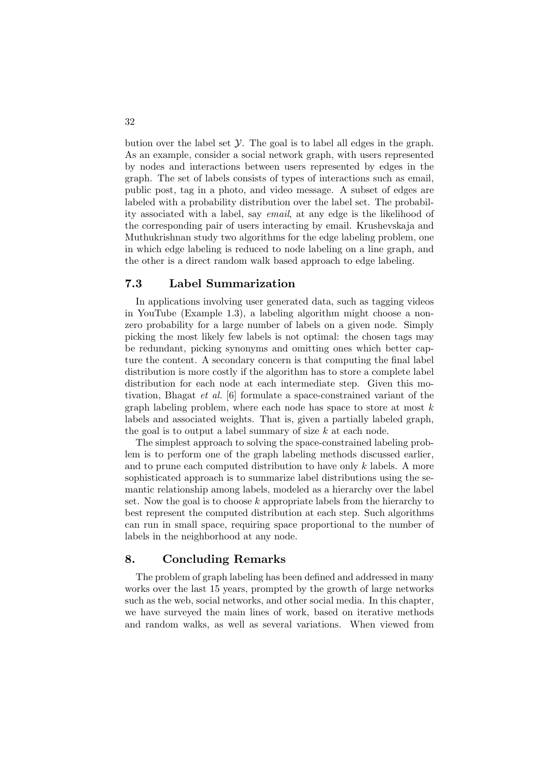bution over the label set  $\mathcal Y$ . The goal is to label all edges in the graph. As an example, consider a social network graph, with users represented by nodes and interactions between users represented by edges in the graph. The set of labels consists of types of interactions such as email, public post, tag in a photo, and video message. A subset of edges are labeled with a probability distribution over the label set. The probability associated with a label, say email, at any edge is the likelihood of the corresponding pair of users interacting by email. Krushevskaja and Muthukrishnan study two algorithms for the edge labeling problem, one in which edge labeling is reduced to node labeling on a line graph, and the other is a direct random walk based approach to edge labeling.

#### 7.3 Label Summarization

In applications involving user generated data, such as tagging videos in YouTube (Example 1.3), a labeling algorithm might choose a nonzero probability for a large number of labels on a given node. Simply picking the most likely few labels is not optimal: the chosen tags may be redundant, picking synonyms and omitting ones which better capture the content. A secondary concern is that computing the final label distribution is more costly if the algorithm has to store a complete label distribution for each node at each intermediate step. Given this motivation, Bhagat et al. [6] formulate a space-constrained variant of the graph labeling problem, where each node has space to store at most  $k$ labels and associated weights. That is, given a partially labeled graph, the goal is to output a label summary of size  $k$  at each node.

The simplest approach to solving the space-constrained labeling problem is to perform one of the graph labeling methods discussed earlier, and to prune each computed distribution to have only k labels. A more sophisticated approach is to summarize label distributions using the semantic relationship among labels, modeled as a hierarchy over the label set. Now the goal is to choose  $k$  appropriate labels from the hierarchy to best represent the computed distribution at each step. Such algorithms can run in small space, requiring space proportional to the number of labels in the neighborhood at any node.

## 8. Concluding Remarks

The problem of graph labeling has been defined and addressed in many works over the last 15 years, prompted by the growth of large networks such as the web, social networks, and other social media. In this chapter, we have surveyed the main lines of work, based on iterative methods and random walks, as well as several variations. When viewed from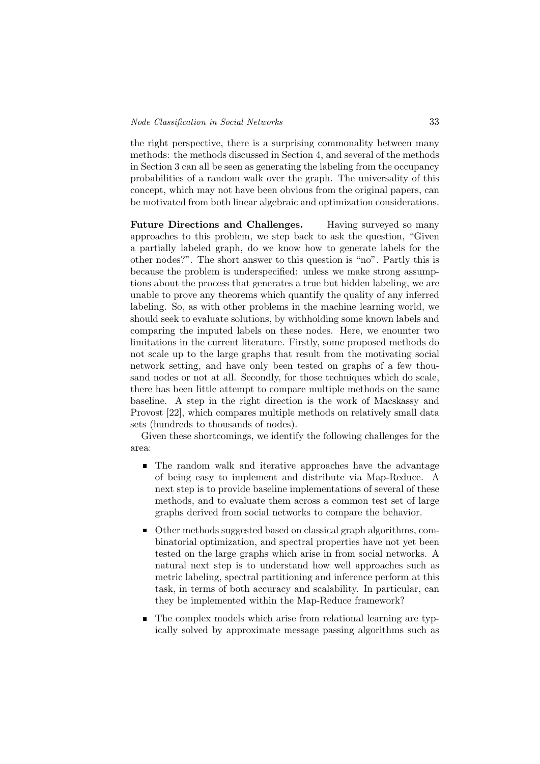the right perspective, there is a surprising commonality between many methods: the methods discussed in Section 4, and several of the methods in Section 3 can all be seen as generating the labeling from the occupancy probabilities of a random walk over the graph. The universality of this concept, which may not have been obvious from the original papers, can be motivated from both linear algebraic and optimization considerations.

Future Directions and Challenges. Having surveyed so many approaches to this problem, we step back to ask the question, "Given a partially labeled graph, do we know how to generate labels for the other nodes?". The short answer to this question is "no". Partly this is because the problem is underspecified: unless we make strong assumptions about the process that generates a true but hidden labeling, we are unable to prove any theorems which quantify the quality of any inferred labeling. So, as with other problems in the machine learning world, we should seek to evaluate solutions, by withholding some known labels and comparing the imputed labels on these nodes. Here, we enounter two limitations in the current literature. Firstly, some proposed methods do not scale up to the large graphs that result from the motivating social network setting, and have only been tested on graphs of a few thousand nodes or not at all. Secondly, for those techniques which do scale, there has been little attempt to compare multiple methods on the same baseline. A step in the right direction is the work of Macskassy and Provost [22], which compares multiple methods on relatively small data sets (hundreds to thousands of nodes).

Given these shortcomings, we identify the following challenges for the area:

- The random walk and iterative approaches have the advantage of being easy to implement and distribute via Map-Reduce. A next step is to provide baseline implementations of several of these methods, and to evaluate them across a common test set of large graphs derived from social networks to compare the behavior.
- Other methods suggested based on classical graph algorithms, combinatorial optimization, and spectral properties have not yet been tested on the large graphs which arise in from social networks. A natural next step is to understand how well approaches such as metric labeling, spectral partitioning and inference perform at this task, in terms of both accuracy and scalability. In particular, can they be implemented within the Map-Reduce framework?
- The complex models which arise from relational learning are typically solved by approximate message passing algorithms such as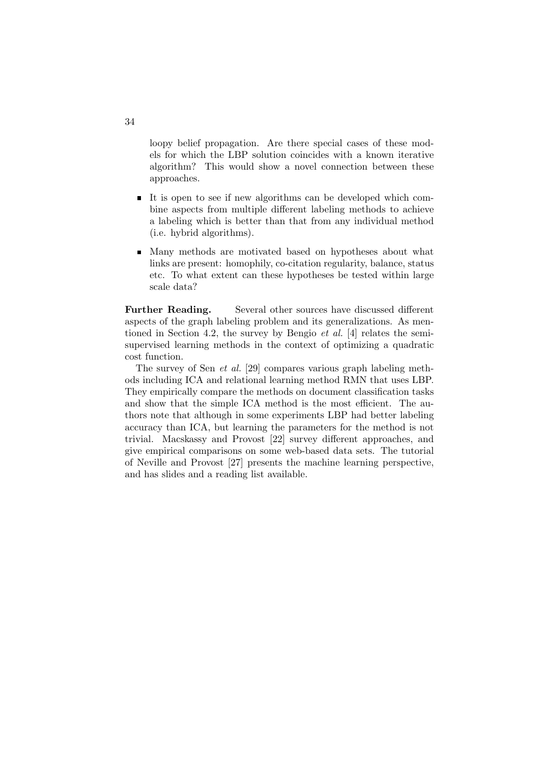loopy belief propagation. Are there special cases of these models for which the LBP solution coincides with a known iterative algorithm? This would show a novel connection between these approaches.

- It is open to see if new algorithms can be developed which combine aspects from multiple different labeling methods to achieve a labeling which is better than that from any individual method (i.e. hybrid algorithms).
- Many methods are motivated based on hypotheses about what links are present: homophily, co-citation regularity, balance, status etc. To what extent can these hypotheses be tested within large scale data?

Further Reading. Several other sources have discussed different aspects of the graph labeling problem and its generalizations. As mentioned in Section 4.2, the survey by Bengio et al. [4] relates the semisupervised learning methods in the context of optimizing a quadratic cost function.

The survey of Sen et al. [29] compares various graph labeling methods including ICA and relational learning method RMN that uses LBP. They empirically compare the methods on document classification tasks and show that the simple ICA method is the most efficient. The authors note that although in some experiments LBP had better labeling accuracy than ICA, but learning the parameters for the method is not trivial. Macskassy and Provost [22] survey different approaches, and give empirical comparisons on some web-based data sets. The tutorial of Neville and Provost [27] presents the machine learning perspective, and has slides and a reading list available.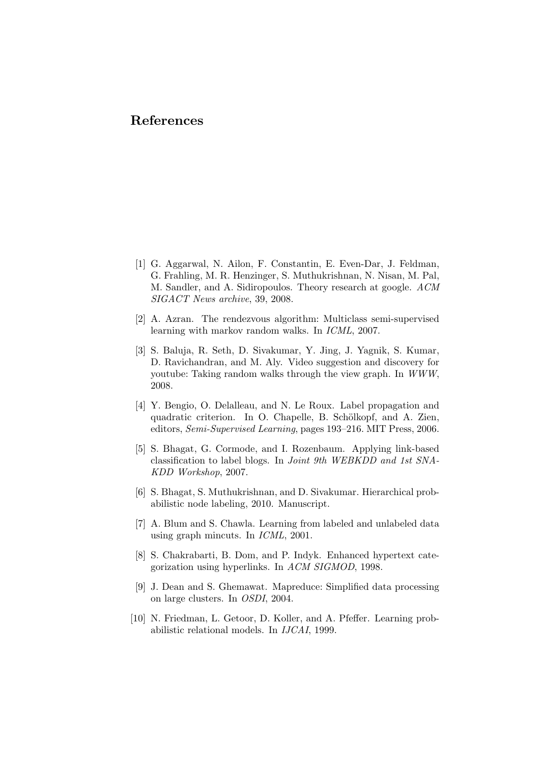# References

- [1] G. Aggarwal, N. Ailon, F. Constantin, E. Even-Dar, J. Feldman, G. Frahling, M. R. Henzinger, S. Muthukrishnan, N. Nisan, M. Pal, M. Sandler, and A. Sidiropoulos. Theory research at google. ACM SIGACT News archive, 39, 2008.
- [2] A. Azran. The rendezvous algorithm: Multiclass semi-supervised learning with markov random walks. In ICML, 2007.
- [3] S. Baluja, R. Seth, D. Sivakumar, Y. Jing, J. Yagnik, S. Kumar, D. Ravichandran, and M. Aly. Video suggestion and discovery for youtube: Taking random walks through the view graph. In WWW, 2008.
- [4] Y. Bengio, O. Delalleau, and N. Le Roux. Label propagation and quadratic criterion. In O. Chapelle, B. Schölkopf, and A. Zien, editors, Semi-Supervised Learning, pages 193–216. MIT Press, 2006.
- [5] S. Bhagat, G. Cormode, and I. Rozenbaum. Applying link-based classification to label blogs. In Joint 9th WEBKDD and 1st SNA-KDD Workshop, 2007.
- [6] S. Bhagat, S. Muthukrishnan, and D. Sivakumar. Hierarchical probabilistic node labeling, 2010. Manuscript.
- [7] A. Blum and S. Chawla. Learning from labeled and unlabeled data using graph mincuts. In ICML, 2001.
- [8] S. Chakrabarti, B. Dom, and P. Indyk. Enhanced hypertext categorization using hyperlinks. In ACM SIGMOD, 1998.
- [9] J. Dean and S. Ghemawat. Mapreduce: Simplified data processing on large clusters. In OSDI, 2004.
- [10] N. Friedman, L. Getoor, D. Koller, and A. Pfeffer. Learning probabilistic relational models. In IJCAI, 1999.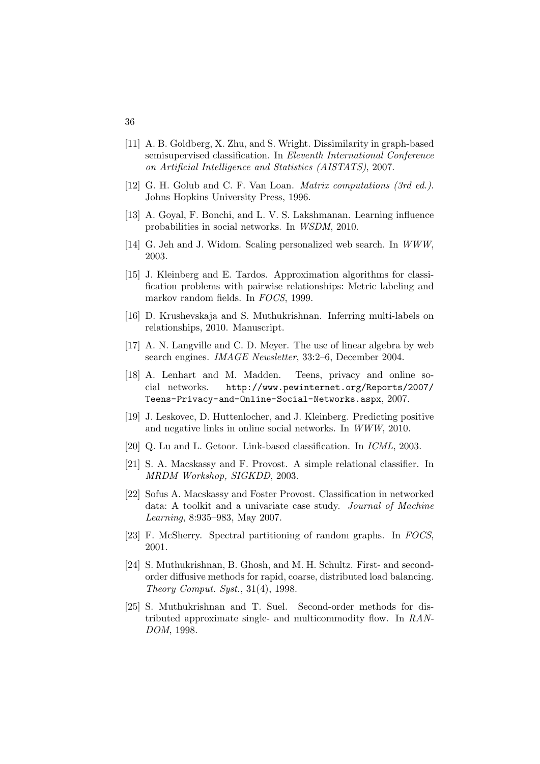- [11] A. B. Goldberg, X. Zhu, and S. Wright. Dissimilarity in graph-based semisupervised classification. In Eleventh International Conference on Artificial Intelligence and Statistics (AISTATS), 2007.
- [12] G. H. Golub and C. F. Van Loan. Matrix computations (3rd ed.). Johns Hopkins University Press, 1996.
- [13] A. Goyal, F. Bonchi, and L. V. S. Lakshmanan. Learning influence probabilities in social networks. In WSDM, 2010.
- [14] G. Jeh and J. Widom. Scaling personalized web search. In WWW, 2003.
- [15] J. Kleinberg and E. Tardos. Approximation algorithms for classification problems with pairwise relationships: Metric labeling and markov random fields. In FOCS, 1999.
- [16] D. Krushevskaja and S. Muthukrishnan. Inferring multi-labels on relationships, 2010. Manuscript.
- [17] A. N. Langville and C. D. Meyer. The use of linear algebra by web search engines. IMAGE Newsletter, 33:2–6, December 2004.
- [18] A. Lenhart and M. Madden. Teens, privacy and online social networks. http://www.pewinternet.org/Reports/2007/ Teens-Privacy-and-Online-Social-Networks.aspx, 2007.
- [19] J. Leskovec, D. Huttenlocher, and J. Kleinberg. Predicting positive and negative links in online social networks. In WWW, 2010.
- [20] Q. Lu and L. Getoor. Link-based classification. In ICML, 2003.
- [21] S. A. Macskassy and F. Provost. A simple relational classifier. In MRDM Workshop, SIGKDD, 2003.
- [22] Sofus A. Macskassy and Foster Provost. Classification in networked data: A toolkit and a univariate case study. *Journal of Machine* Learning, 8:935–983, May 2007.
- [23] F. McSherry. Spectral partitioning of random graphs. In FOCS, 2001.
- [24] S. Muthukrishnan, B. Ghosh, and M. H. Schultz. First- and secondorder diffusive methods for rapid, coarse, distributed load balancing. Theory Comput. Syst., 31(4), 1998.
- [25] S. Muthukrishnan and T. Suel. Second-order methods for distributed approximate single- and multicommodity flow. In RAN-DOM, 1998.